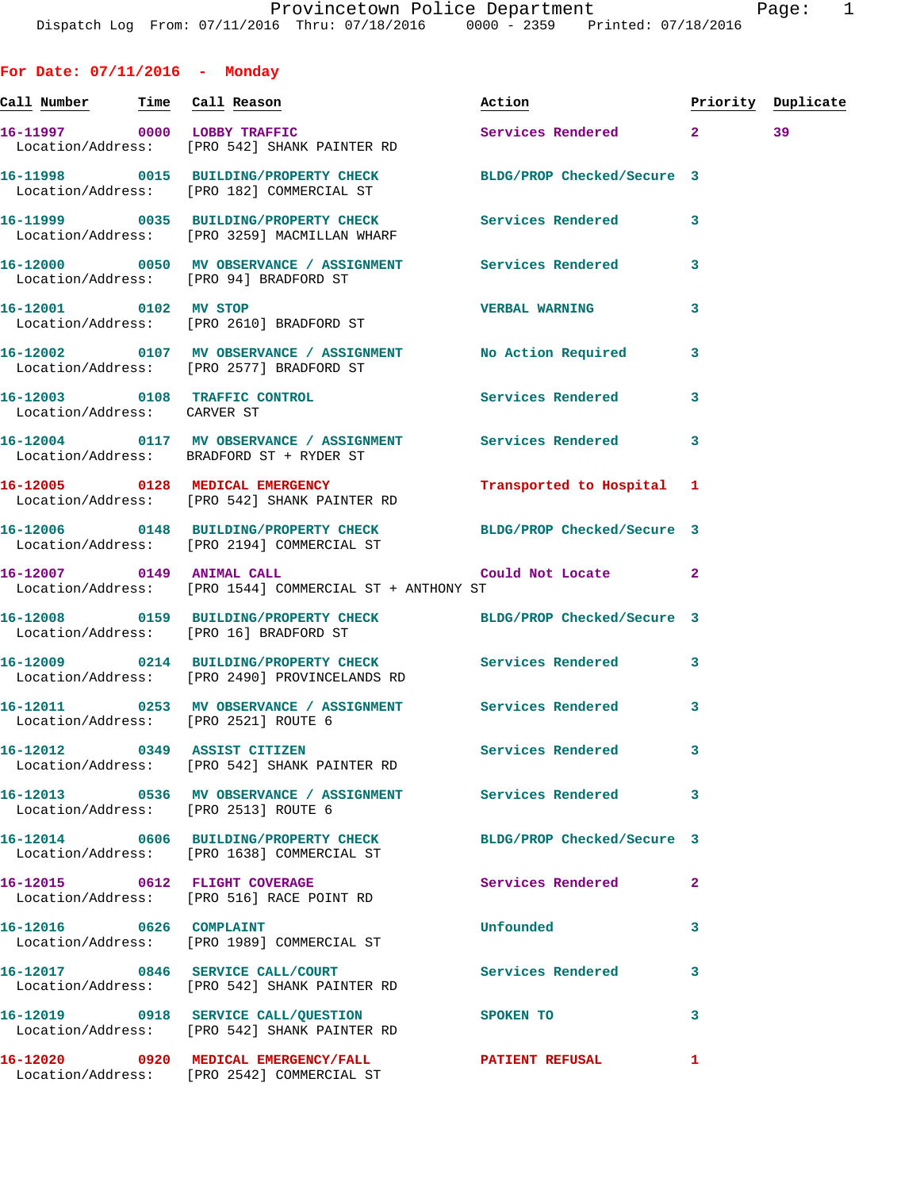**Call Number Time Call Reason Action Priority Duplicate** 16-11997 0000 LOBBY TRAFFIC Services Rendered 2 39 Location/Address: [PRO 542] SHANK PAINTER RD **16-11998 0015 BUILDING/PROPERTY CHECK BLDG/PROP Checked/Secure 3**  Location/Address: [PRO 182] COMMERCIAL ST **16-11999 0035 BUILDING/PROPERTY CHECK Services Rendered 3**  Location/Address: [PRO 3259] MACMILLAN WHARF **16-12000 0050 MV OBSERVANCE / ASSIGNMENT Services Rendered 3**  Location/Address: [PRO 94] BRADFORD ST **16-12001 0102 MV STOP VERBAL WARNING 3**  Location/Address: [PRO 2610] BRADFORD ST **16-12002 0107 MV OBSERVANCE / ASSIGNMENT No Action Required 3**  Location/Address: [PRO 2577] BRADFORD ST **16-12003 0108 TRAFFIC CONTROL Services Rendered 3**  Location/Address: CARVER ST **16-12004 0117 MV OBSERVANCE / ASSIGNMENT Services Rendered 3**  Location/Address: BRADFORD ST + RYDER ST **16-12005 0128 MEDICAL EMERGENCY Transported to Hospital 1**  Location/Address: [PRO 542] SHANK PAINTER RD **16-12006 0148 BUILDING/PROPERTY CHECK BLDG/PROP Checked/Secure 3**  Location/Address: [PRO 2194] COMMERCIAL ST **16-12007 0149 ANIMAL CALL Could Not Locate 2**  Location/Address: [PRO 1544] COMMERCIAL ST + ANTHONY ST **16-12008 0159 BUILDING/PROPERTY CHECK BLDG/PROP Checked/Secure 3**  Location/Address: [PRO 16] BRADFORD ST **16-12009 0214 BUILDING/PROPERTY CHECK Services Rendered 3**  Location/Address: [PRO 2490] PROVINCELANDS RD **16-12011 0253 MV OBSERVANCE / ASSIGNMENT Services Rendered 3**  Location/Address: [PRO 2521] ROUTE 6 **16-12012 0349 ASSIST CITIZEN Services Rendered 3**  Location/Address: [PRO 542] SHANK PAINTER RD **16-12013 0536 MV OBSERVANCE / ASSIGNMENT Services Rendered 3**  Location/Address: [PRO 2513] ROUTE 6 **16-12014 0606 BUILDING/PROPERTY CHECK BLDG/PROP Checked/Secure 3**  Location/Address: [PRO 1638] COMMERCIAL ST **16-12015 0612 FLIGHT COVERAGE Services Rendered 2**  Location/Address: [PRO 516] RACE POINT RD **16-12016 0626 COMPLAINT Unfounded 3**  Location/Address: [PRO 1989] COMMERCIAL ST **16-12017 0846 SERVICE CALL/COURT Services Rendered 3**  Location/Address: [PRO 542] SHANK PAINTER RD

**16-12019 0918 SERVICE CALL/QUESTION SPOKEN TO 3**  Location/Address: [PRO 542] SHANK PAINTER RD **16-12020 0920 MEDICAL EMERGENCY/FALL PATIENT REFUSAL 1** 

Location/Address: [PRO 2542] COMMERCIAL ST

**For Date: 07/11/2016 - Monday**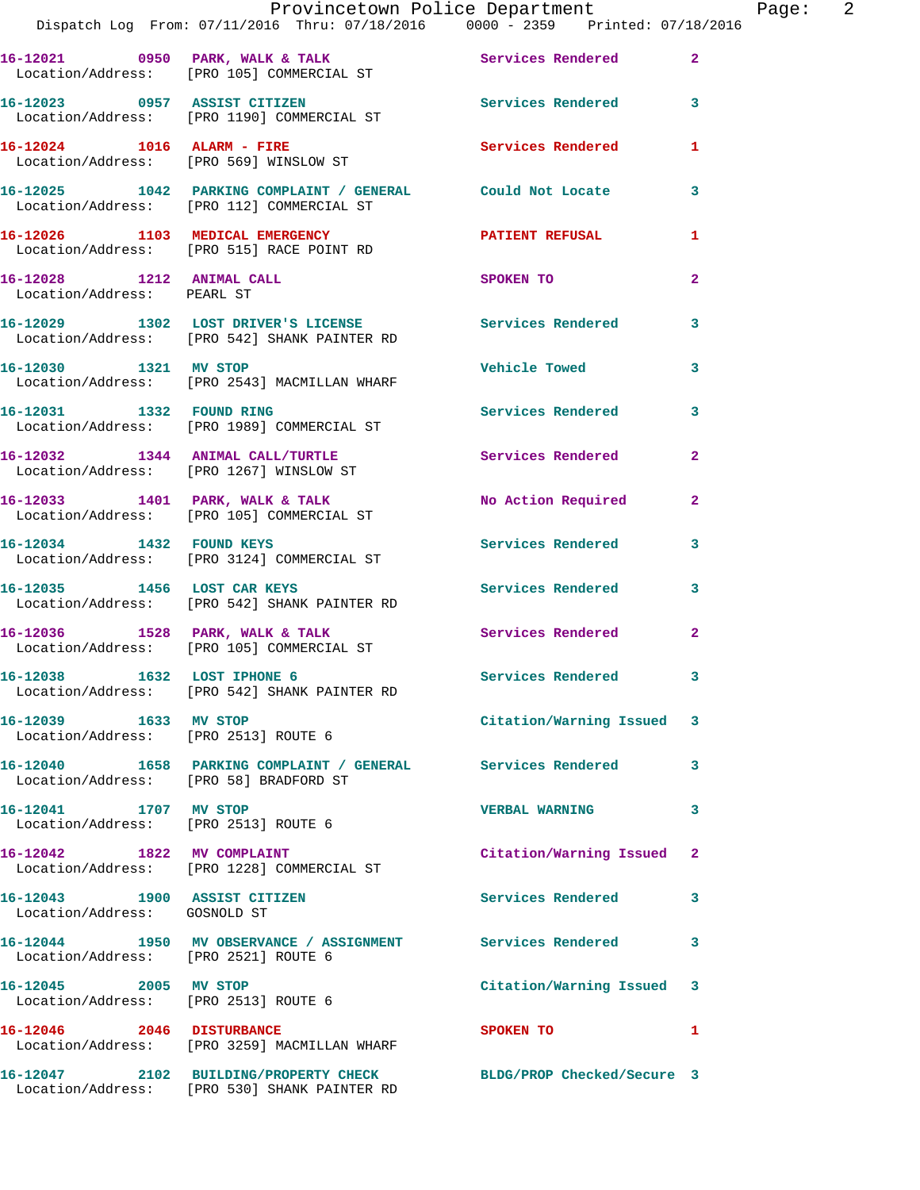|                                                               | Provincetown Police Department<br>Dispatch Log From: 07/11/2016 Thru: 07/18/2016 0000 - 2359 Printed: 07/18/2016 |                            |                |
|---------------------------------------------------------------|------------------------------------------------------------------------------------------------------------------|----------------------------|----------------|
|                                                               | 16-12021 0950 PARK, WALK & TALK Services Rendered<br>Location/Address: [PRO 105] COMMERCIAL ST                   |                            | $\overline{2}$ |
|                                                               | 16-12023 0957 ASSIST CITIZEN<br>Location/Address: [PRO 1190] COMMERCIAL ST                                       | Services Rendered          | 3              |
|                                                               | 16-12024 1016 ALARM - FIRE<br>Location/Address: [PRO 569] WINSLOW ST                                             | <b>Services Rendered</b>   | 1              |
|                                                               | 16-12025 1042 PARKING COMPLAINT / GENERAL Could Not Locate<br>Location/Address: [PRO 112] COMMERCIAL ST          |                            | 3              |
|                                                               | 16-12026 1103 MEDICAL EMERGENCY PATIENT REFUSAL<br>Location/Address: [PRO 515] RACE POINT RD                     |                            | 1              |
| 16-12028 1212 ANIMAL CALL<br>Location/Address: PEARL ST       |                                                                                                                  | SPOKEN TO                  | $\overline{a}$ |
|                                                               | 16-12029 1302 LOST DRIVER'S LICENSE Services Rendered<br>Location/Address: [PRO 542] SHANK PAINTER RD            |                            | 3              |
| 16-12030 1321 MV STOP                                         | Location/Address: [PRO 2543] MACMILLAN WHARF                                                                     | <b>Vehicle Towed</b>       | 3              |
|                                                               | 16-12031 1332 FOUND RING<br>Location/Address: [PRO 1989] COMMERCIAL ST                                           | <b>Services Rendered</b>   | 3              |
|                                                               | 16-12032 1344 ANIMAL CALL/TURTLE Services Rendered<br>Location/Address: [PRO 1267] WINSLOW ST                    |                            | $\overline{a}$ |
|                                                               | 16-12033 1401 PARK, WALK & TALK<br>Location/Address: [PRO 105] COMMERCIAL ST                                     | No Action Required         | $\mathbf{2}$   |
|                                                               | 16-12034 1432 FOUND KEYS<br>Location/Address: [PRO 3124] COMMERCIAL ST                                           | <b>Services Rendered</b>   | 3              |
|                                                               | 16-12035 1456 LOST CAR KEYS<br>Location/Address: [PRO 542] SHANK PAINTER RD                                      | Services Rendered          | 3              |
|                                                               | 16-12036 1528 PARK, WALK & TALK<br>Location/Address: [PRO 105] COMMERCIAL ST                                     | <b>Services Rendered</b>   | $\mathbf{2}$   |
| 16-12038 1632 LOST IPHONE 6                                   | Location/Address: [PRO 542] SHANK PAINTER RD                                                                     | Services Rendered          | 3              |
| 16-12039 1633 MV STOP                                         | Location/Address: [PRO 2513] ROUTE 6                                                                             | Citation/Warning Issued    | 3              |
| Location/Address: [PRO 58] BRADFORD ST                        | 16-12040 1658 PARKING COMPLAINT / GENERAL Services Rendered                                                      |                            | 3              |
| 16-12041 1707 MV STOP<br>Location/Address: [PRO 2513] ROUTE 6 |                                                                                                                  | <b>VERBAL WARNING</b>      | 3              |
|                                                               | 16-12042 1822 MV COMPLAINT<br>Location/Address: [PRO 1228] COMMERCIAL ST                                         | Citation/Warning Issued    | $\mathbf{2}$   |
| 16-12043 1900 ASSIST CITIZEN<br>Location/Address: GOSNOLD ST  |                                                                                                                  | Services Rendered          | 3              |
| Location/Address: [PRO 2521] ROUTE 6                          | 16-12044 1950 MV OBSERVANCE / ASSIGNMENT Services Rendered                                                       |                            | 3              |
| 16-12045 2005 MV STOP<br>Location/Address: [PRO 2513] ROUTE 6 |                                                                                                                  | Citation/Warning Issued    | 3              |
| 16-12046 2046 DISTURBANCE                                     | Location/Address: [PRO 3259] MACMILLAN WHARF                                                                     | <b>SPOKEN TO</b>           | 1              |
|                                                               | 16-12047 2102 BUILDING/PROPERTY CHECK<br>Location/Address: [PRO 530] SHANK PAINTER RD                            | BLDG/PROP Checked/Secure 3 |                |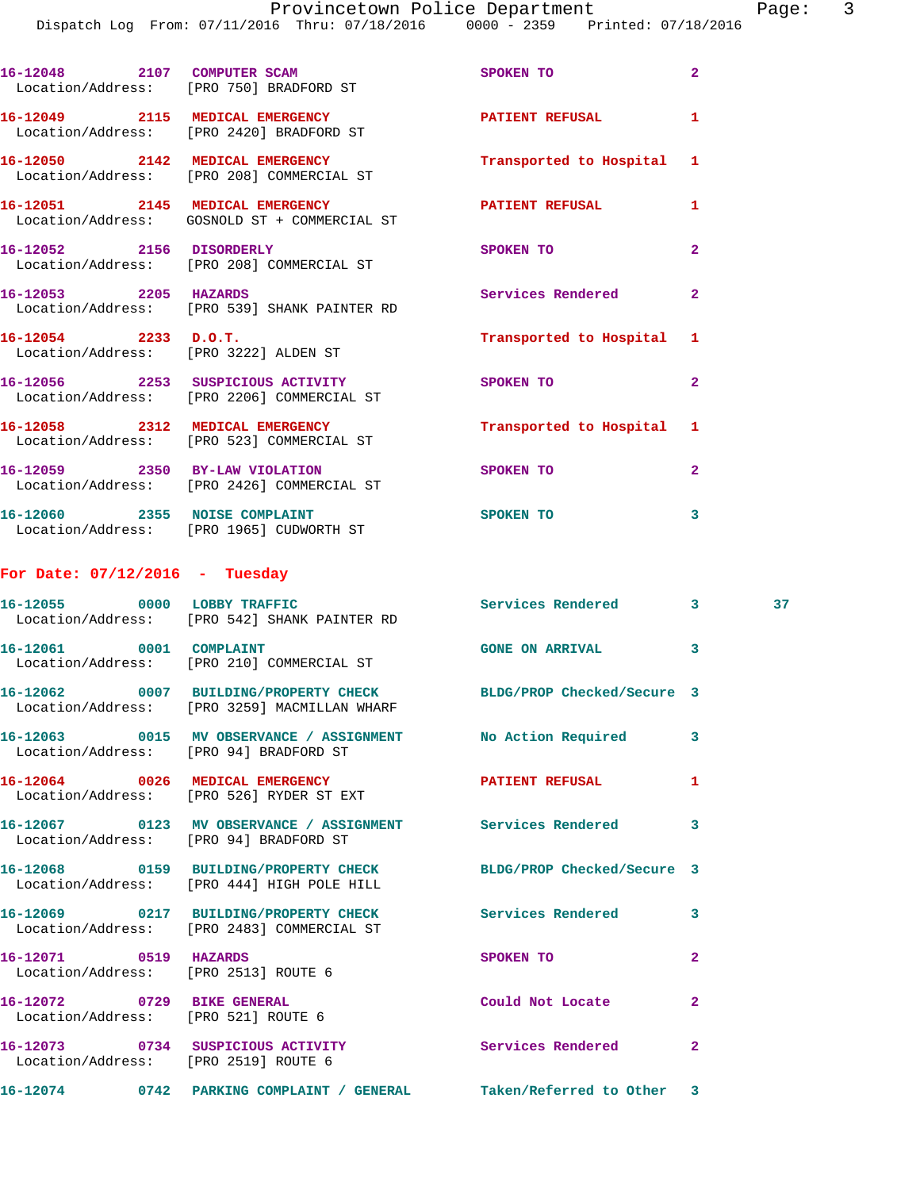|                                  | 16-12048 2107 COMPUTER SCAM<br>Location/Address: [PRO 750] BRADFORD ST                                           | SPOKEN TO                 | $\overline{2}$ |    |
|----------------------------------|------------------------------------------------------------------------------------------------------------------|---------------------------|----------------|----|
|                                  | 16-12049 2115 MEDICAL EMERGENCY<br>Location/Address: [PRO 2420] BRADFORD ST                                      | PATIENT REFUSAL           | 1              |    |
|                                  | 16-12050 2142 MEDICAL EMERGENCY<br>Location/Address: [PRO 208] COMMERCIAL ST                                     | Transported to Hospital 1 |                |    |
|                                  | 16-12051 2145 MEDICAL EMERGENCY<br>Location/Address: GOSNOLD ST + COMMERCIAL ST                                  | PATIENT REFUSAL           | 1              |    |
| 16-12052 2156 DISORDERLY         | Location/Address: [PRO 208] COMMERCIAL ST                                                                        | SPOKEN TO                 | $\overline{2}$ |    |
| 16-12053 2205 HAZARDS            | Location/Address: [PRO 539] SHANK PAINTER RD                                                                     | Services Rendered         | $\overline{a}$ |    |
| $16-12054$ 2233 D.O.T.           | Location/Address: [PRO 3222] ALDEN ST                                                                            | Transported to Hospital 1 |                |    |
|                                  | 16-12056 2253 SUSPICIOUS ACTIVITY<br>Location/Address: [PRO 2206] COMMERCIAL ST                                  | SPOKEN TO                 | $\overline{a}$ |    |
|                                  | 16-12058 2312 MEDICAL EMERGENCY<br>Location/Address: [PRO 523] COMMERCIAL ST                                     | Transported to Hospital 1 |                |    |
|                                  | 16-12059 2350 BY-LAW VIOLATION<br>Location/Address: [PRO 2426] COMMERCIAL ST                                     | <b>SPOKEN TO</b>          | $\mathbf{2}$   |    |
|                                  | 16-12060 2355 NOISE COMPLAINT<br>Location/Address: [PRO 1965] CUDWORTH ST                                        | <b>SPOKEN TO</b>          | 3              |    |
| For Date: $07/12/2016$ - Tuesday |                                                                                                                  |                           |                |    |
|                                  | 16-12055 0000 LOBBY TRAFFIC<br>Location/Address: [PRO 542] SHANK PAINTER RD                                      | Services Rendered 3       |                | 37 |
|                                  | 16-12061 0001 COMPLAINT<br>Location/Address: [PRO 210] COMMERCIAL ST                                             | <b>GONE ON ARRIVAL</b>    | 3              |    |
|                                  | 16-12062 0007 BUILDING/PROPERTY CHECK BLDG/PROP Checked/Secure 3<br>Location/Address: [PRO 3259] MACMILLAN WHARF |                           |                |    |
|                                  | 16-12063 0015 MV OBSERVANCE / ASSIGNMENT<br>Location/Address: [PRO 94] BRADFORD ST                               | No Action Required        | 3              |    |
| 16-12064 0026 MEDICAL EMERGENCY  | Location/Address: [PRO 526] RYDER ST EXT                                                                         | <b>PATIENT REFUSAL</b>    | 1              |    |
| Location/Address:                | [PRO 94] BRADFORD ST                                                                                             | Services Rendered         | 3              |    |

**16-12068 0159 BUILDING/PROPERTY CHECK BLDG/PROP Checked/Secure 3**  Location/Address: [PRO 444] HIGH POLE HILL

**16-12069 0217 BUILDING/PROPERTY CHECK Services Rendered 3**  Location/Address: [PRO 2483] COMMERCIAL ST

**16-12071 0519 HAZARDS SPOKEN TO 2**  Location/Address: [PRO 2513] ROUTE 6

**16-12072 0729 BIKE GENERAL Could Not Locate 2**  Location/Address: [PRO 521] ROUTE 6

**16-12073 0734 SUSPICIOUS ACTIVITY Services Rendered 2**  Location/Address: [PRO 2519] ROUTE 6

**16-12074 0742 PARKING COMPLAINT / GENERAL Taken/Referred to Other 3**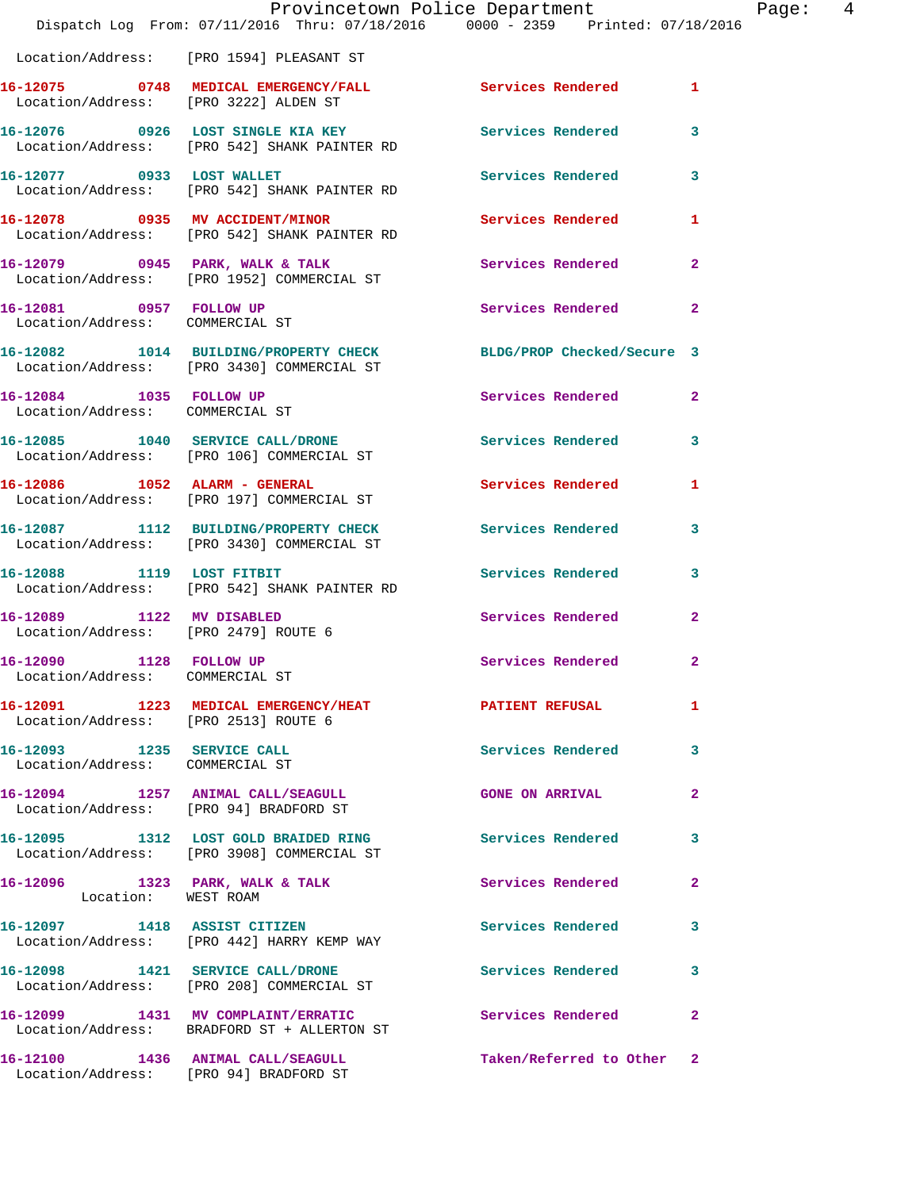|                                                               | Provincetown Police Department<br>Dispatch Log From: 07/11/2016 Thru: 07/18/2016 0000 - 2359 Printed: 07/18/2016 |                            |                |
|---------------------------------------------------------------|------------------------------------------------------------------------------------------------------------------|----------------------------|----------------|
|                                                               | Location/Address: [PRO 1594] PLEASANT ST                                                                         |                            |                |
| Location/Address: [PRO 3222] ALDEN ST                         | 16-12075 0748 MEDICAL EMERGENCY/FALL Services Rendered                                                           |                            | 1              |
|                                                               | 16-12076 0926 LOST SINGLE KIA KEY<br>Location/Address: [PRO 542] SHANK PAINTER RD                                | <b>Services Rendered</b>   | 3              |
| 16-12077 0933 LOST WALLET                                     | Location/Address: [PRO 542] SHANK PAINTER RD                                                                     | Services Rendered          | 3              |
| 16-12078 0935 MV ACCIDENT/MINOR                               | Location/Address: [PRO 542] SHANK PAINTER RD                                                                     | Services Rendered          | 1              |
|                                                               |                                                                                                                  | Services Rendered          | 2              |
| 16-12081 0957 FOLLOW UP<br>Location/Address: COMMERCIAL ST    |                                                                                                                  | <b>Services Rendered</b>   | 2              |
|                                                               | 16-12082 1014 BUILDING/PROPERTY CHECK<br>Location/Address: [PRO 3430] COMMERCIAL ST                              | BLDG/PROP Checked/Secure 3 |                |
| 16-12084 1035 FOLLOW UP<br>Location/Address: COMMERCIAL ST    |                                                                                                                  | Services Rendered          | $\mathbf{2}$   |
|                                                               | 16-12085 1040 SERVICE CALL/DRONE<br>Location/Address: [PRO 106] COMMERCIAL ST                                    | Services Rendered          | 3              |
|                                                               | 16-12086    1052    ALARM - GENERAL<br>Location/Address: [PRO 197] COMMERCIAL ST                                 | Services Rendered          | 1              |
|                                                               | 16-12087 1112 BUILDING/PROPERTY CHECK<br>Location/Address: [PRO 3430] COMMERCIAL ST                              | <b>Services Rendered</b>   | 3              |
| 16-12088 1119 LOST FITBIT                                     | Location/Address: [PRO 542] SHANK PAINTER RD                                                                     | Services Rendered          | 3              |
| 16-12089<br>Location/Address: [PRO 2479] ROUTE 6              | 1122 MV DISABLED                                                                                                 | Services Rendered          | $\mathbf{2}$   |
| 16-12090<br>Location/Address: COMMERCIAL ST                   | 1128 FOLLOW UP                                                                                                   | Services Rendered          | 2              |
| Location/Address: [PRO 2513] ROUTE 6                          | 16-12091 1223 MEDICAL EMERGENCY/HEAT                                                                             | PATIENT REFUSAL            | 1              |
| 16-12093 1235 SERVICE CALL<br>Location/Address: COMMERCIAL ST |                                                                                                                  | <b>Services Rendered</b>   | 3              |
|                                                               | 16-12094 1257 ANIMAL CALL/SEAGULL<br>Location/Address: [PRO 94] BRADFORD ST                                      | <b>GONE ON ARRIVAL</b>     | $\overline{a}$ |
|                                                               | 16-12095 1312 LOST GOLD BRAIDED RING<br>Location/Address: [PRO 3908] COMMERCIAL ST                               | Services Rendered          | 3              |
| 16-12096 1323 PARK, WALK & TALK<br>Location: WEST ROAM        |                                                                                                                  | Services Rendered          | 2              |
|                                                               | 16-12097 1418 ASSIST CITIZEN<br>Location/Address: [PRO 442] HARRY KEMP WAY                                       | <b>Services Rendered</b>   | 3              |
|                                                               | 16-12098 1421 SERVICE CALL/DRONE<br>Location/Address: [PRO 208] COMMERCIAL ST                                    | <b>Services Rendered</b>   | 3              |
|                                                               | 16-12099 1431 MV COMPLAINT/ERRATIC<br>Location/Address: BRADFORD ST + ALLERTON ST                                | Services Rendered          | 2              |
|                                                               | 16-12100 1436 ANIMAL CALL/SEAGULL <b>Taken/Referred to Other</b> 2                                               |                            |                |

Location/Address: [PRO 94] BRADFORD ST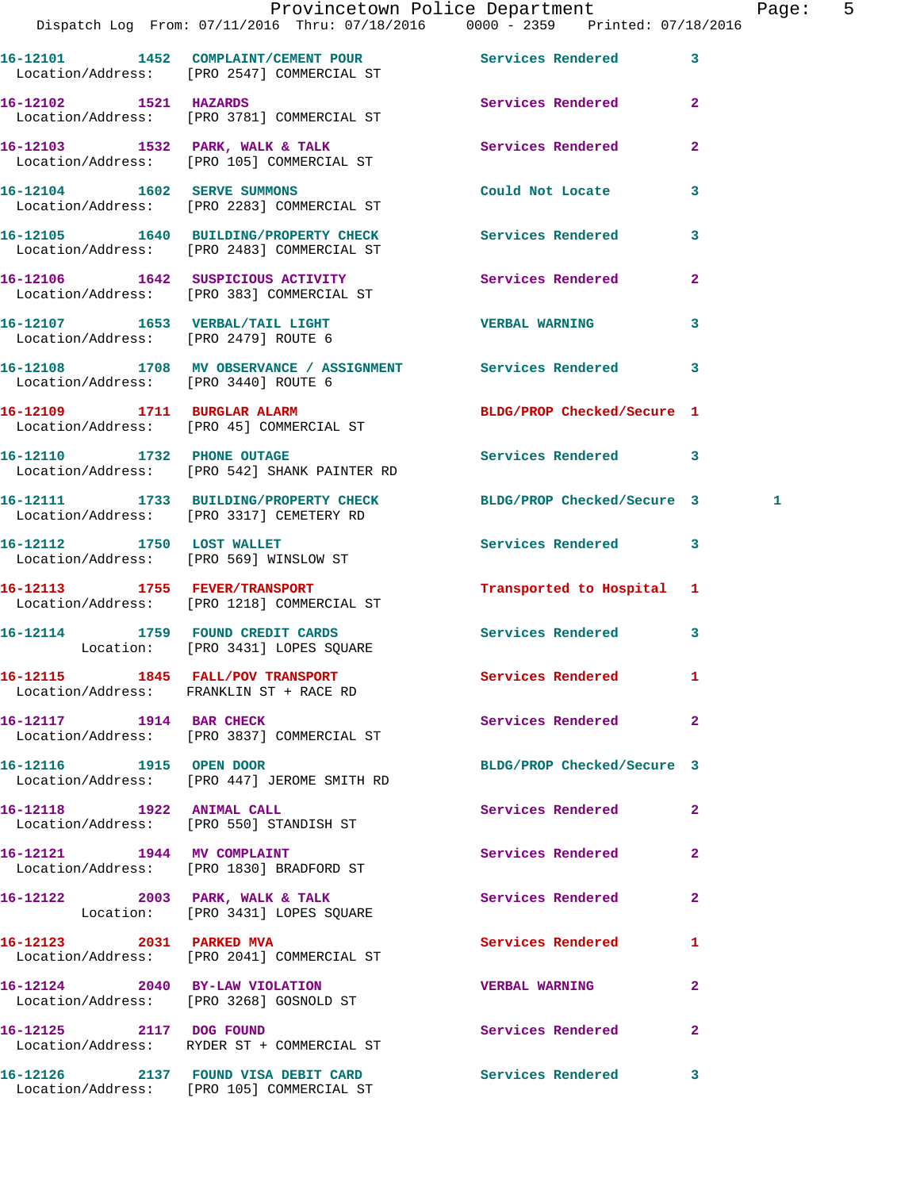**16-12101 1452 COMPLAINT/CEMENT POUR Services Rendered 3**  Location/Address: [PRO 2547] COMMERCIAL ST **16-12102 1521 HAZARDS Services Rendered 2**  Location/Address: [PRO 3781] COMMERCIAL ST 16-12103 1532 PARK, WALK & TALK **Services Rendered** 2 Location/Address: [PRO 105] COMMERCIAL ST **16-12104 1602 SERVE SUMMONS Could Not Locate 3**  Location/Address: [PRO 2283] COMMERCIAL ST **16-12105 1640 BUILDING/PROPERTY CHECK Services Rendered 3**  Location/Address: [PRO 2483] COMMERCIAL ST 16-12106 1642 SUSPICIOUS ACTIVITY **16-12106** Services Rendered 2 Location/Address: [PRO 383] COMMERCIAL ST **16-12107 1653 VERBAL/TAIL LIGHT VERBAL WARNING 3**  Location/Address: [PRO 2479] ROUTE 6 **16-12108 1708 MV OBSERVANCE / ASSIGNMENT Services Rendered 3**  Location/Address: [PRO 3440] ROUTE 6 **16-12109 1711 BURGLAR ALARM BLDG/PROP Checked/Secure 1**  Location/Address: [PRO 45] COMMERCIAL ST **16-12110 1732 PHONE OUTAGE Services Rendered 3**  Location/Address: [PRO 542] SHANK PAINTER RD **16-12111 1733 BUILDING/PROPERTY CHECK BLDG/PROP Checked/Secure 3 1**  Location/Address: [PRO 3317] CEMETERY RD **16-12112 1750 LOST WALLET Services Rendered 3**  Location/Address: [PRO 569] WINSLOW ST **16-12113 1755 FEVER/TRANSPORT Transported to Hospital 1**  Location/Address: [PRO 1218] COMMERCIAL ST **16-12114 1759 FOUND CREDIT CARDS Services Rendered 3**  Location: [PRO 3431] LOPES SQUARE **16-12115 1845 FALL/POV TRANSPORT Services Rendered 1**  Location/Address: FRANKLIN ST + RACE RD **16-12117 1914 BAR CHECK Services Rendered 2**  Location/Address: [PRO 3837] COMMERCIAL ST **16-12116 1915 OPEN DOOR BLDG/PROP Checked/Secure 3**  Location/Address: [PRO 447] JEROME SMITH RD **16-12118 1922 ANIMAL CALL Services Rendered 2**  Location/Address: [PRO 550] STANDISH ST **16-12121 1944 MV COMPLAINT Services Rendered 2**  Location/Address: [PRO 1830] BRADFORD ST 16-12122 2003 PARK, WALK & TALK 2 Services Rendered 2 Location: [PRO 3431] LOPES SQUARE **16-12123 2031 PARKED MVA Services Rendered 1**  Location/Address: [PRO 2041] COMMERCIAL ST **16-12124 2040 BY-LAW VIOLATION VERBAL WARNING 2**  Location/Address: [PRO 3268] GOSNOLD ST **16-12125 2117 DOG FOUND Services Rendered 2**  Location/Address: RYDER ST + COMMERCIAL ST **16-12126 2137 FOUND VISA DEBIT CARD Services Rendered 3** 

Location/Address: [PRO 105] COMMERCIAL ST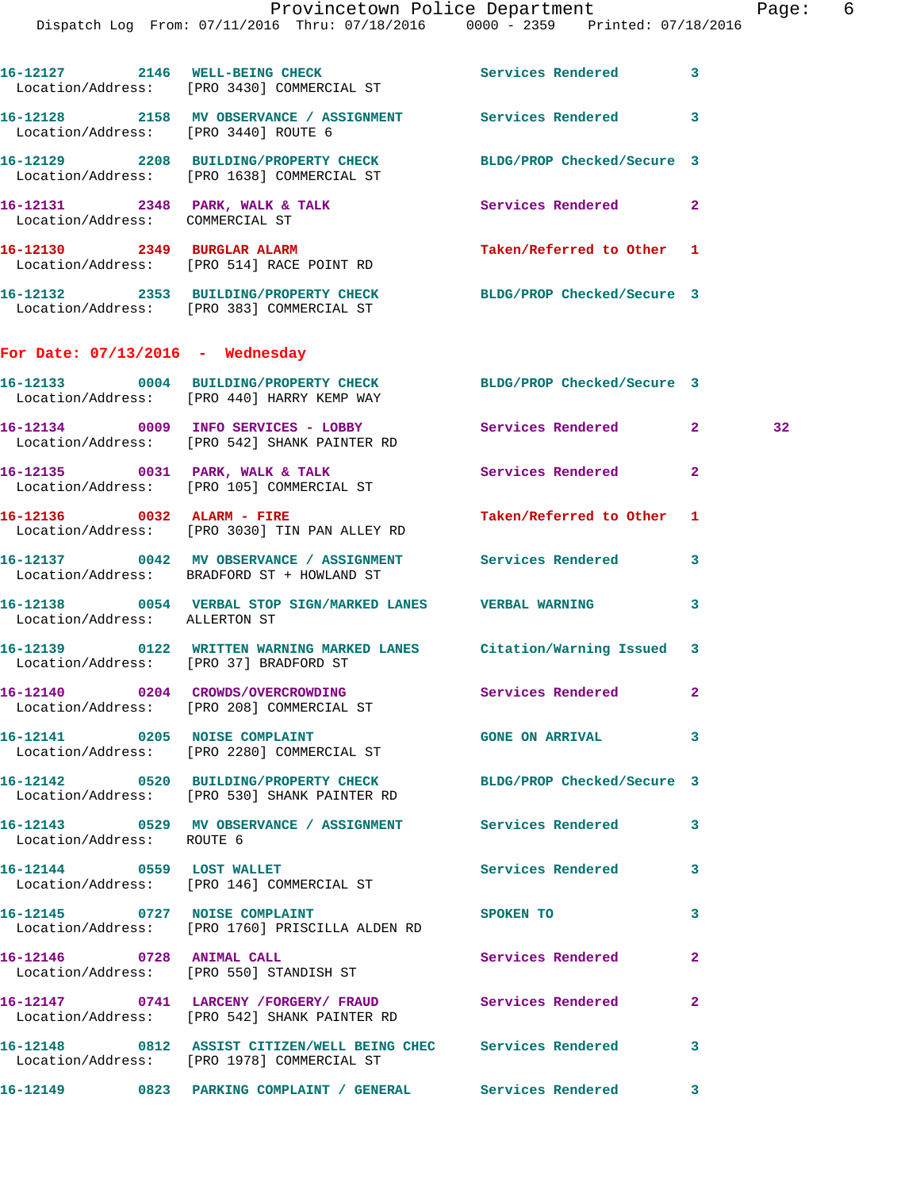| 16-12127 2146                      |      | <b>WELL-BEING CHECK</b><br>Location/Address: [PRO 3430] COMMERCIAL ST        | Services Rendered          | 3 |
|------------------------------------|------|------------------------------------------------------------------------------|----------------------------|---|
| 16-12128                           | 2158 | MV OBSERVANCE / ASSIGNMENT<br>Location/Address: [PRO 3440] ROUTE 6           | Services Rendered          | 3 |
| 16-12129                           | 2208 | <b>BUILDING/PROPERTY CHECK</b><br>Location/Address: [PRO 1638] COMMERCIAL ST | BLDG/PROP Checked/Secure 3 |   |
| 16-12131 2348<br>Location/Address: |      | PARK, WALK & TALK<br>COMMERCIAL ST                                           | Services Rendered          | 2 |
| 2349<br>16-12130                   |      | <b>BURGLAR ALARM</b><br>Location/Address: [PRO 514] RACE POINT RD            | Taken/Referred to Other 1  |   |
| 2353<br>16-12132                   |      | BUILDING/PROPERTY CHECK<br>Location/Address: [PRO 383] COMMERCIAL ST         | BLDG/PROP Checked/Secure 3 |   |

## **For Date: 07/13/2016 - Wednesday**

| 16-12133<br>0004 | BUILDING/PROPERTY CHECK<br>Location/Address: [PRO 440] HARRY KEMP WAY    | BLDG/PROP Checked/Secure 3 |                |                 |
|------------------|--------------------------------------------------------------------------|----------------------------|----------------|-----------------|
| 0009<br>16-12134 | INFO SERVICES - LOBBY<br>Location/Address: [PRO 542] SHANK PAINTER RD    | Services Rendered          | 2              | 32 <sup>°</sup> |
| 16–12135<br>0031 | PARK, WALK & TALK<br>Location/Address: [PRO 105] COMMERCIAL ST           | Services Rendered          | 2              |                 |
| 16–12136<br>0032 | ALARM - FIRE<br>Location/Address: [PRO 3030] TIN PAN ALLEY RD            | Taken/Referred to Other    | $\blacksquare$ |                 |
| 0042<br>16–12137 | MV OBSERVANCE / ASSIGNMENT<br>Location/Address: BRADFORD ST + HOWLAND ST | Services Rendered          | 3              |                 |

**16-12138 0054 VERBAL STOP SIGN/MARKED LANES VERBAL WARNING 3**  Location/Address: ALLERTON ST

**16-12139 0122 WRITTEN WARNING MARKED LANES Citation/Warning Issued 3**  Location/Address: [PRO 37] BRADFORD ST

**16-12140 0204 CROWDS/OVERCROWDING Services Rendered 2**  Location/Address: [PRO 208] COMMERCIAL ST

**16-12141 0205 NOISE COMPLAINT GONE ON ARRIVAL 3**  Location/Address: [PRO 2280] COMMERCIAL ST

**16-12142 0520 BUILDING/PROPERTY CHECK BLDG/PROP Checked/Secure 3**  Location/Address: [PRO 530] SHANK PAINTER RD

**16-12143 0529 MV OBSERVANCE / ASSIGNMENT Services Rendered 3**  Location/Address: ROUTE 6

Location/Address: [PRO 146] COMMERCIAL ST

Location/Address: [PRO 1760] PRISCILLA ALDEN RD

Location/Address: [PRO 550] STANDISH ST

**16-12147 0741 LARCENY /FORGERY/ FRAUD Services Rendered 2**  Location/Address: [PRO 542] SHANK PAINTER RD

Location/Address: [PRO 1978] COMMERCIAL ST

**16-12149 0823 PARKING COMPLAINT / GENERAL Services Rendered 3** 

**16-12144 0559 LOST WALLET Services Rendered 3** 

16-12145 0727 NOISE COMPLAINT SPOKEN TO 3

**16-12146 0728 ANIMAL CALL Services Rendered 2** 

**16-12148 0812 ASSIST CITIZEN/WELL BEING CHEC Services Rendered 3**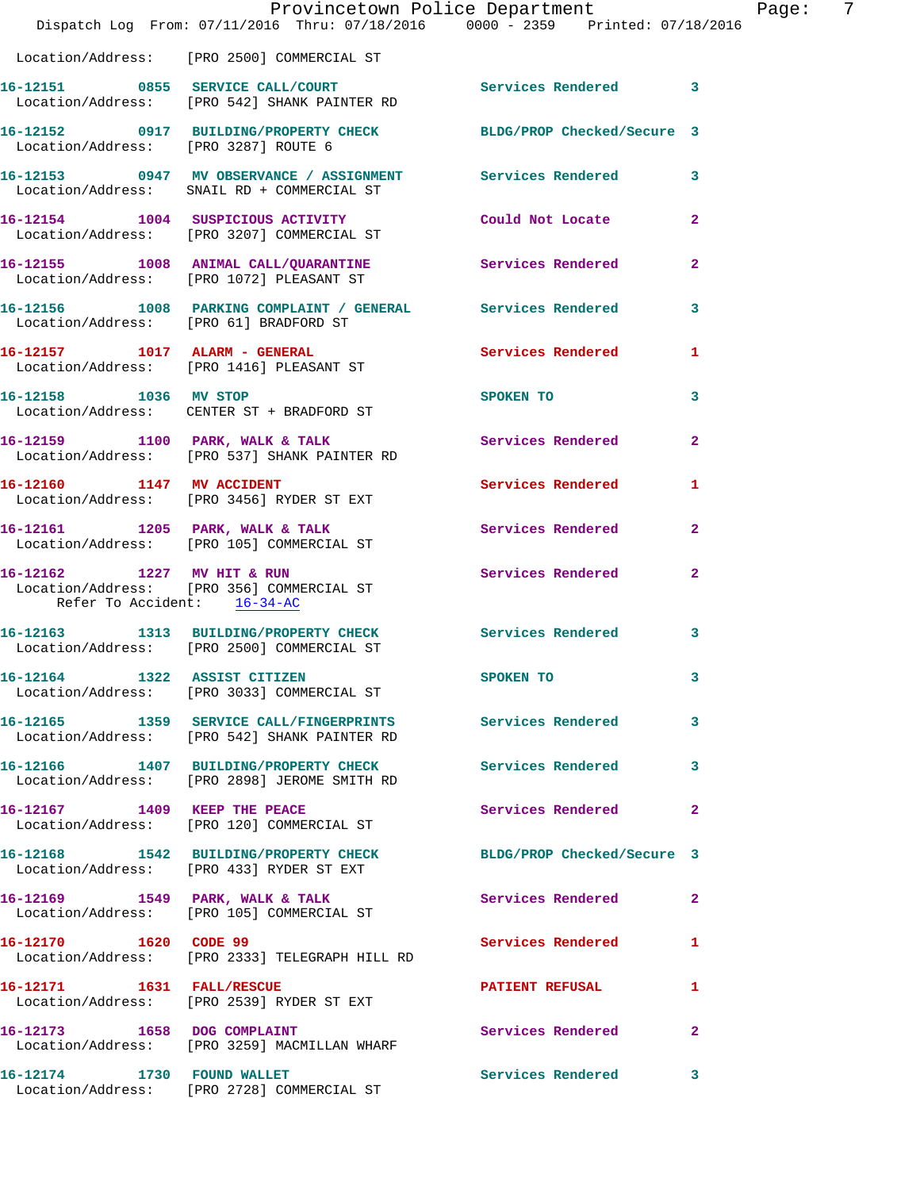|                                      | Dispatch Log From: 07/11/2016 Thru: 07/18/2016 0000 - 2359 Printed: 07/18/2016                             | Provincetown Police Department | Page: 7        |
|--------------------------------------|------------------------------------------------------------------------------------------------------------|--------------------------------|----------------|
|                                      | Location/Address: [PRO 2500] COMMERCIAL ST                                                                 |                                |                |
|                                      | 16-12151 0855 SERVICE CALL/COURT Services Rendered 3<br>Location/Address: [PRO 542] SHANK PAINTER RD       |                                |                |
| Location/Address: [PRO 3287] ROUTE 6 | 16-12152 0917 BUILDING/PROPERTY CHECK BLDG/PROP Checked/Secure 3                                           |                                |                |
|                                      | 16-12153 0947 MV OBSERVANCE / ASSIGNMENT Services Rendered 3<br>Location/Address: SNAIL RD + COMMERCIAL ST |                                |                |
|                                      | 16-12154 1004 SUSPICIOUS ACTIVITY Could Not Locate<br>Location/Address: [PRO 3207] COMMERCIAL ST           |                                | $\overline{2}$ |
|                                      | 16-12155 1008 ANIMAL CALL/QUARANTINE Services Rendered<br>Location/Address: [PRO 1072] PLEASANT ST         |                                | $\mathbf{2}$   |
|                                      | 16-12156 1008 PARKING COMPLAINT / GENERAL Services Rendered 3<br>Location/Address: [PRO 61] BRADFORD ST    |                                |                |
|                                      | 16-12157 1017 ALARM - GENERAL<br>Location/Address: [PRO 1416] PLEASANT ST                                  | Services Rendered              | $\mathbf{1}$   |
|                                      | 16-12158 1036 MV STOP<br>Location/Address: CENTER ST + BRADFORD ST                                         | SPOKEN TO                      | 3              |
|                                      | 16-12159 1100 PARK, WALK & TALK 1988 Services Rendered<br>Location/Address: [PRO 537] SHANK PAINTER RD     |                                | $\overline{2}$ |
|                                      | 16-12160 1147 MV ACCIDENT<br>Location/Address: [PRO 3456] RYDER ST EXT                                     | Services Rendered 1            |                |
|                                      | 16-12161 1205 PARK, WALK & TALK<br>Location/Address: [PRO 105] COMMERCIAL ST                               | <b>Services Rendered</b>       | $\overline{2}$ |
| Refer To Accident: 16-34-AC          | 16-12162 1227 MV HIT & RUN<br>Location/Address: [PRO 356] COMMERCIAL ST                                    | Services Rendered              | $\mathbf{2}$   |
|                                      | 16-12163 1313 BUILDING/PROPERTY CHECK Services Rendered<br>Location/Address: [PRO 2500] COMMERCIAL ST      |                                | 3              |
|                                      | 16-12164 1322 ASSIST CITIZEN<br>Location/Address: [PRO 3033] COMMERCIAL ST                                 | SPOKEN TO                      |                |
|                                      | 16-12165 1359 SERVICE CALL/FINGERPRINTS Services Rendered<br>Location/Address: [PRO 542] SHANK PAINTER RD  |                                | 3              |
|                                      | 16-12166 1407 BUILDING/PROPERTY CHECK<br>Location/Address: [PRO 2898] JEROME SMITH RD                      | <b>Services Rendered</b>       | 3              |
|                                      | 16-12167 1409 KEEP THE PEACE<br>Location/Address: [PRO 120] COMMERCIAL ST                                  | Services Rendered              | $\mathbf{2}$   |
|                                      | 16-12168 1542 BUILDING/PROPERTY CHECK<br>Location/Address: [PRO 433] RYDER ST EXT                          | BLDG/PROP Checked/Secure 3     |                |
|                                      | 16-12169 1549 PARK, WALK & TALK<br>Location/Address: [PRO 105] COMMERCIAL ST                               | Services Rendered              | $\overline{2}$ |
| 16-12170 1620 CODE 99                | Location/Address: [PRO 2333] TELEGRAPH HILL RD                                                             | Services Rendered              | $\mathbf{1}$   |
|                                      | 16-12171 1631 FALL/RESCUE<br>Location/Address: [PRO 2539] RYDER ST EXT                                     | <b>PATIENT REFUSAL</b>         | 1              |
| 16-12173 1658 DOG COMPLAINT          | Location/Address: [PRO 3259] MACMILLAN WHARF                                                               | Services Rendered              | $\overline{2}$ |
|                                      | 16-12174 1730 FOUND WALLET<br>Location/Address: [PRO 2728] COMMERCIAL ST                                   | Services Rendered              | 3              |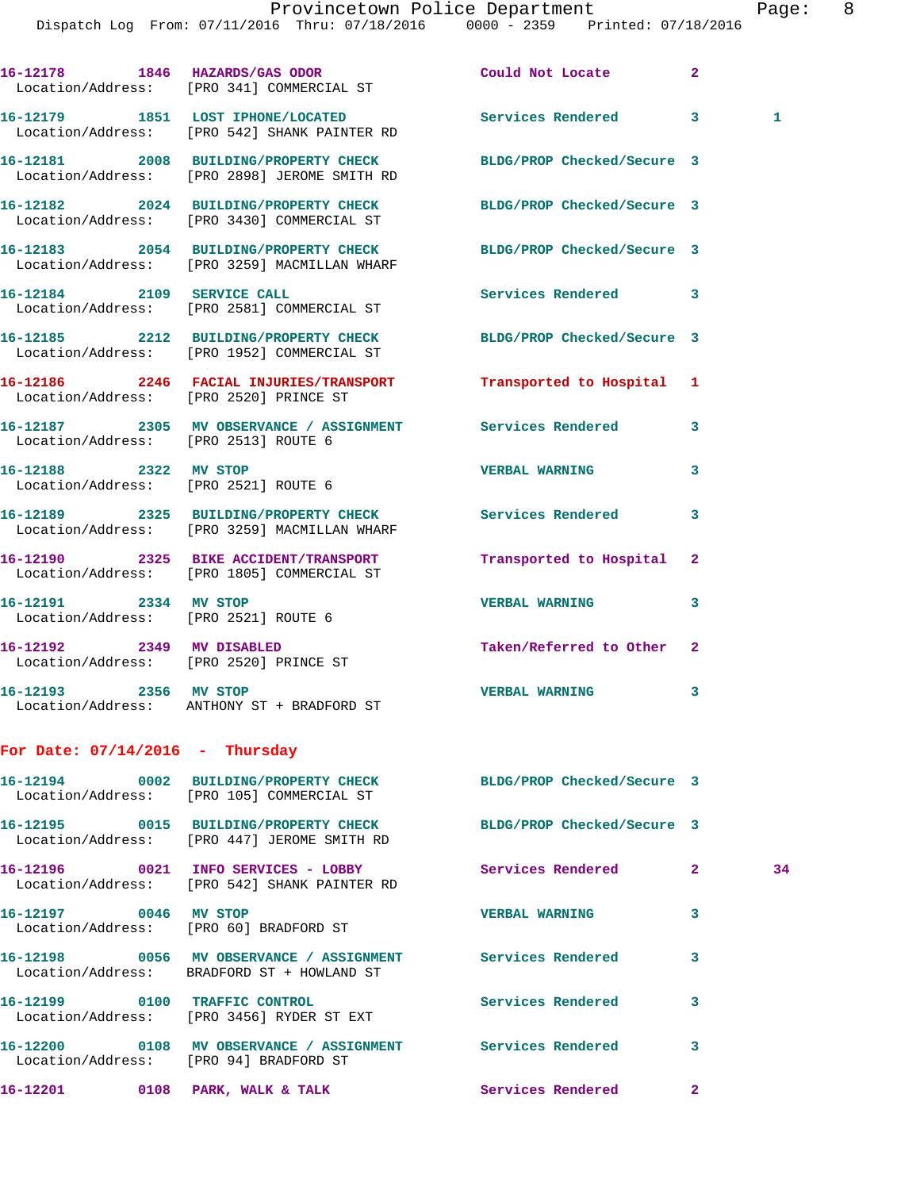Dispatch Log From: 07/11/2016 Thru: 07/18/2016 0000 - 2359 Printed: 07/18/2016

|                                                               | 16-12178 1846 HAZARDS/GAS ODOR Could Not Locate<br>Location/Address: [PRO 341] COMMERCIAL ST                   |                            | $\overline{2}$ |    |
|---------------------------------------------------------------|----------------------------------------------------------------------------------------------------------------|----------------------------|----------------|----|
|                                                               | 16-12179 1851 LOST IPHONE/LOCATED Services Rendered<br>Location/Address: [PRO 542] SHANK PAINTER RD            |                            | 3              | 1  |
|                                                               | 16-12181 2008 BUILDING/PROPERTY CHECK<br>Location/Address: [PRO 2898] JEROME SMITH RD                          | BLDG/PROP Checked/Secure 3 |                |    |
|                                                               | 16-12182 2024 BUILDING/PROPERTY CHECK BLDG/PROP Checked/Secure 3<br>Location/Address: [PRO 3430] COMMERCIAL ST |                            |                |    |
|                                                               | 16-12183 2054 BUILDING/PROPERTY CHECK<br>Location/Address: [PRO 3259] MACMILLAN WHARF                          | BLDG/PROP Checked/Secure 3 |                |    |
|                                                               | 16-12184 2109 SERVICE CALL<br>Location/Address: [PRO 2581] COMMERCIAL ST                                       | Services Rendered          | 3              |    |
|                                                               | 16-12185 2212 BUILDING/PROPERTY CHECK<br>Location/Address: [PRO 1952] COMMERCIAL ST                            | BLDG/PROP Checked/Secure 3 |                |    |
|                                                               | 16-12186 2246 FACIAL INJURIES/TRANSPORT Transported to Hospital 1<br>Location/Address: [PRO 2520] PRINCE ST    |                            |                |    |
| Location/Address: [PRO 2513] ROUTE 6                          | 16-12187 2305 MV OBSERVANCE / ASSIGNMENT Services Rendered                                                     |                            | 3              |    |
| 16-12188 2322 MV STOP                                         | Location/Address: [PRO 2521] ROUTE 6                                                                           | <b>VERBAL WARNING</b>      | 3              |    |
|                                                               | 16-12189 2325 BUILDING/PROPERTY CHECK Services Rendered<br>Location/Address: [PRO 3259] MACMILLAN WHARF        |                            | 3              |    |
|                                                               | 16-12190 2325 BIKE ACCIDENT/TRANSPORT<br>Location/Address: [PRO 1805] COMMERCIAL ST                            | Transported to Hospital    | 2              |    |
| 16-12191 2334 MV STOP<br>Location/Address: [PRO 2521] ROUTE 6 |                                                                                                                | <b>VERBAL WARNING</b>      | 3              |    |
| 16-12192 2349 MV DISABLED                                     | Location/Address: [PRO 2520] PRINCE ST                                                                         | Taken/Referred to Other    | $\mathbf{2}$   |    |
|                                                               | 16-12193 2356 MV STOP<br>Location/Address: ANTHONY ST + BRADFORD ST                                            | <b>VERBAL WARNING</b>      | 3              |    |
| For Date: $07/14/2016$ - Thursday                             |                                                                                                                |                            |                |    |
|                                                               | 16-12194 0002 BUILDING/PROPERTY CHECK BLDG/PROP Checked/Secure 3<br>Location/Address: [PRO 105] COMMERCIAL ST  |                            |                |    |
|                                                               | 16-12195 0015 BUILDING/PROPERTY CHECK<br>Location/Address: [PRO 447] JEROME SMITH RD                           | BLDG/PROP Checked/Secure 3 |                |    |
|                                                               | 16-12196 0021 INFO SERVICES - LOBBY<br>Location/Address: [PRO 542] SHANK PAINTER RD                            | Services Rendered          | $\mathbf{2}$   | 34 |
| 16-12197 0046 MV STOP                                         | Location/Address: [PRO 60] BRADFORD ST                                                                         | <b>VERBAL WARNING</b>      | 3              |    |
|                                                               | 16-12198 0056 MV OBSERVANCE / ASSIGNMENT Services Rendered<br>Location/Address: BRADFORD ST + HOWLAND ST       |                            | 3              |    |
|                                                               | 16-12199 0100 TRAFFIC CONTROL<br>Location/Address: [PRO 3456] RYDER ST EXT                                     | <b>Services Rendered</b>   | 3              |    |
| Location/Address: [PRO 94] BRADFORD ST                        | 16-12200 0108 MV OBSERVANCE / ASSIGNMENT Services Rendered                                                     |                            | 3              |    |
|                                                               | 16-12201 0108 PARK, WALK & TALK Services Rendered                                                              |                            | $\mathbf{2}$   |    |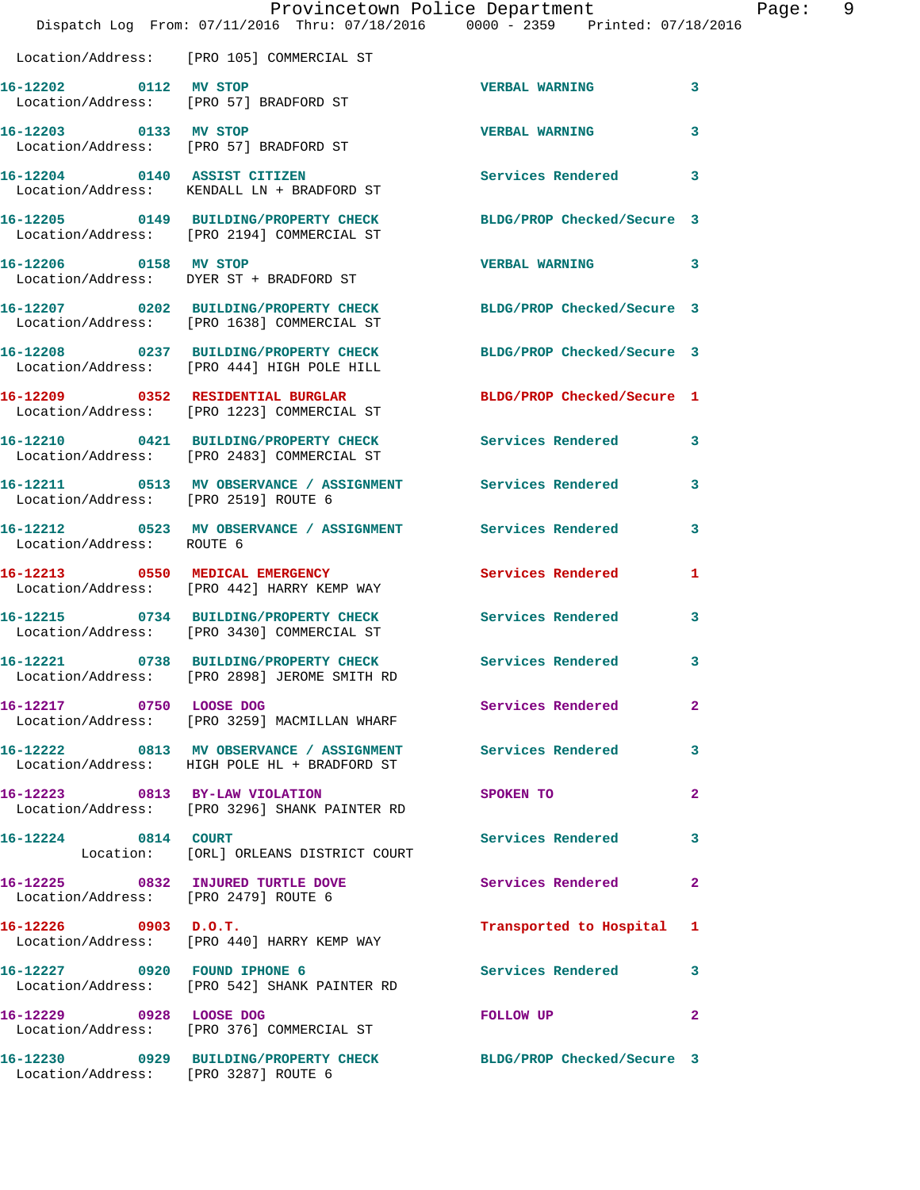|                                                                 | Provincetown Police Department<br>Dispatch Log From: 07/11/2016 Thru: 07/18/2016 0000 - 2359 Printed: 07/18/2016 |                            |              |
|-----------------------------------------------------------------|------------------------------------------------------------------------------------------------------------------|----------------------------|--------------|
|                                                                 | Location/Address: [PRO 105] COMMERCIAL ST                                                                        |                            |              |
| 16-12202 0112 MV STOP<br>Location/Address: [PRO 57] BRADFORD ST |                                                                                                                  | <b>VERBAL WARNING</b>      | 3            |
| 16-12203 0133 MV STOP                                           | Location/Address: [PRO 57] BRADFORD ST                                                                           | <b>VERBAL WARNING</b>      | 3            |
|                                                                 | 16-12204 0140 ASSIST CITIZEN<br>Location/Address: KENDALL LN + BRADFORD ST                                       | <b>Services Rendered</b>   | 3            |
|                                                                 | 16-12205 0149 BUILDING/PROPERTY CHECK<br>Location/Address: [PRO 2194] COMMERCIAL ST                              | BLDG/PROP Checked/Secure 3 |              |
| 16-12206 0158 MV STOP                                           | Location/Address: DYER ST + BRADFORD ST                                                                          | <b>VERBAL WARNING</b>      | 3            |
|                                                                 | 16-12207 0202 BUILDING/PROPERTY CHECK<br>Location/Address: [PRO 1638] COMMERCIAL ST                              | BLDG/PROP Checked/Secure 3 |              |
|                                                                 | 16-12208 0237 BUILDING/PROPERTY CHECK<br>Location/Address: [PRO 444] HIGH POLE HILL                              | BLDG/PROP Checked/Secure 3 |              |
|                                                                 | 16-12209 0352 RESIDENTIAL BURGLAR<br>Location/Address: [PRO 1223] COMMERCIAL ST                                  | BLDG/PROP Checked/Secure 1 |              |
|                                                                 | 16-12210 0421 BUILDING/PROPERTY CHECK<br>Location/Address: [PRO 2483] COMMERCIAL ST                              | <b>Services Rendered</b>   | 3            |
| Location/Address: [PRO 2519] ROUTE 6                            | 16-12211 0513 MV OBSERVANCE / ASSIGNMENT Services Rendered                                                       |                            | 3            |
| Location/Address: ROUTE 6                                       | 16-12212 0523 MV OBSERVANCE / ASSIGNMENT Services Rendered                                                       |                            | 3            |
|                                                                 | 16-12213 0550 MEDICAL EMERGENCY<br>Location/Address: [PRO 442] HARRY KEMP WAY                                    | Services Rendered          | 1            |
|                                                                 | 16-12215 0734 BUILDING/PROPERTY CHECK<br>Location/Address: [PRO 3430] COMMERCIAL ST                              | Services Rendered          | 3            |
| 16-12221                                                        | 0738 BUILDING/PROPERTY CHECK<br>Location/Address: [PRO 2898] JEROME SMITH RD                                     | Services Rendered          | 3            |
| 16-12217 0750 LOOSE DOG                                         | Location/Address: [PRO 3259] MACMILLAN WHARF                                                                     | Services Rendered          | $\mathbf{2}$ |
|                                                                 | 16-12222 0813 MV OBSERVANCE / ASSIGNMENT Services Rendered<br>Location/Address: HIGH POLE HL + BRADFORD ST       |                            | 3            |
| 16-12223 0813 BY-LAW VIOLATION                                  | Location/Address: [PRO 3296] SHANK PAINTER RD                                                                    | <b>SPOKEN TO</b>           | $\mathbf{2}$ |
| 16-12224 0814 COURT                                             | Location: [ORL] ORLEANS DISTRICT COURT                                                                           | Services Rendered          | 3            |
| Location/Address: [PRO 2479] ROUTE 6                            | 16-12225 0832 INJURED TURTLE DOVE                                                                                | <b>Services Rendered</b>   | $\mathbf{2}$ |
| $16 - 12226$ 0903 D.O.T.                                        | Location/Address: [PRO 440] HARRY KEMP WAY                                                                       | Transported to Hospital    | 1            |
| 16-12227 0920 FOUND IPHONE 6                                    | Location/Address: [PRO 542] SHANK PAINTER RD                                                                     | <b>Services Rendered</b>   | 3            |
| 16-12229 0928 LOOSE DOG                                         | Location/Address: [PRO 376] COMMERCIAL ST                                                                        | FOLLOW UP                  | $\mathbf{2}$ |
| Location/Address: [PRO 3287] ROUTE 6                            | 16-12230 0929 BUILDING/PROPERTY CHECK BLDG/PROP Checked/Secure 3                                                 |                            |              |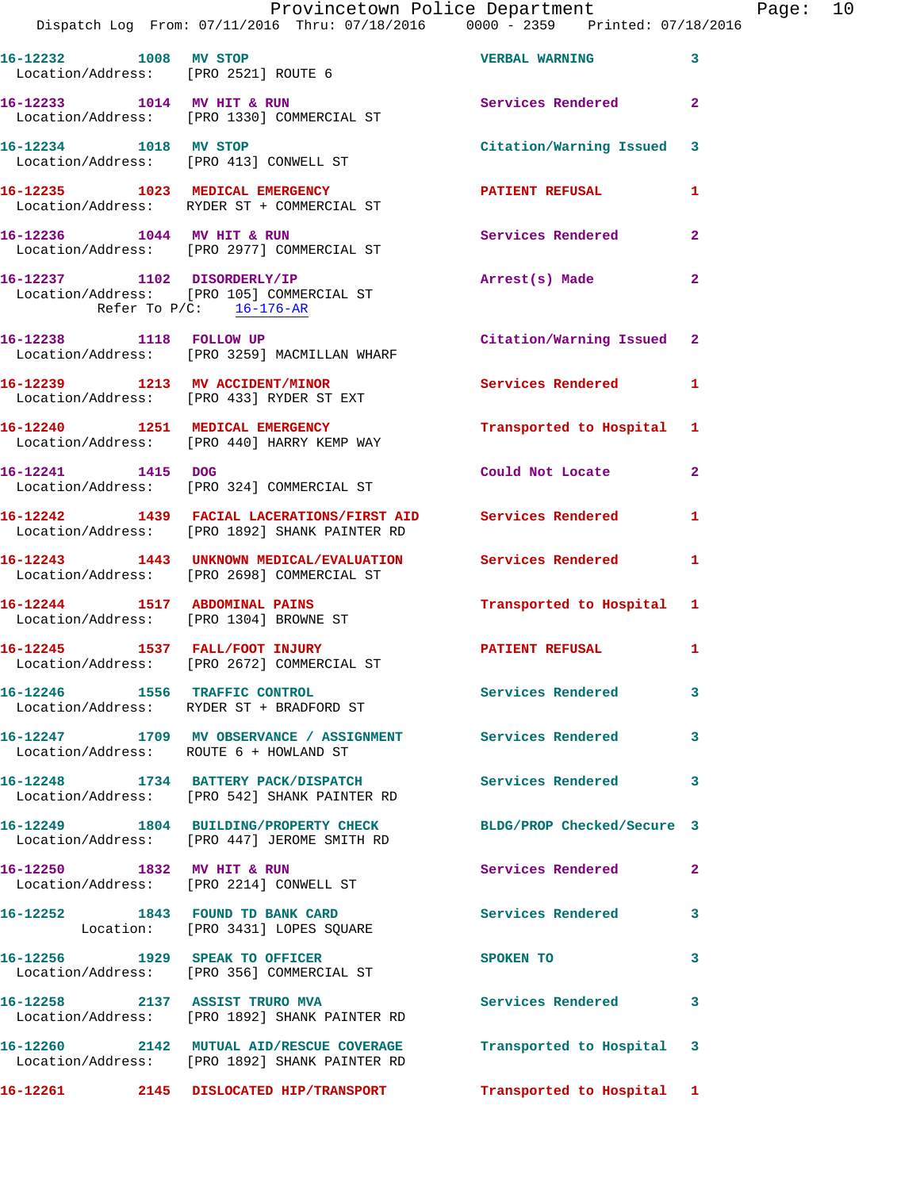|                            | Dispatch Log From: 07/11/2016 Thru: 07/18/2016 0000 - 2359 Printed: 07/18/2016                                  | Provincetown Police Department |                | Page: 10 |  |
|----------------------------|-----------------------------------------------------------------------------------------------------------------|--------------------------------|----------------|----------|--|
|                            |                                                                                                                 |                                |                |          |  |
|                            | 16-12232 1008 MV STOP<br>Location/Address: [PRO 2521] ROUTE 6                                                   | <b>VERBAL WARNING</b>          | 3              |          |  |
|                            | 16-12233 1014 MV HIT & RUN<br>Location/Address: [PRO 1330] COMMERCIAL ST                                        | Services Rendered              | $\mathbf{2}$   |          |  |
|                            | 16-12234 1018 MV STOP<br>Location/Address: [PRO 413] CONWELL ST                                                 | Citation/Warning Issued 3      |                |          |  |
|                            | 16-12235 1023 MEDICAL EMERGENCY<br>Location/Address: RYDER ST + COMMERCIAL ST                                   | PATIENT REFUSAL                | 1              |          |  |
|                            | 16-12236 1044 MV HIT & RUN<br>Location/Address: [PRO 2977] COMMERCIAL ST                                        | Services Rendered              | $\overline{2}$ |          |  |
| Refer To $P/C$ : 16-176-AR | 16-12237 1102 DISORDERLY/IP<br>Location/Address: [PRO 105] COMMERCIAL ST                                        | Arrest(s) Made                 | $\overline{2}$ |          |  |
|                            | 16-12238 1118 FOLLOW UP<br>Location/Address: [PRO 3259] MACMILLAN WHARF                                         | Citation/Warning Issued 2      |                |          |  |
|                            | 16-12239 1213 MV ACCIDENT/MINOR<br>Location/Address: [PRO 433] RYDER ST EXT                                     | <b>Services Rendered</b>       | 1              |          |  |
|                            | 16-12240 1251 MEDICAL EMERGENCY<br>Location/Address: [PRO 440] HARRY KEMP WAY                                   | Transported to Hospital        | 1              |          |  |
|                            | 16-12241 1415 DOG<br>Location/Address: [PRO 324] COMMERCIAL ST                                                  | Could Not Locate               | $\overline{2}$ |          |  |
|                            | 16-12242 1439 FACIAL LACERATIONS/FIRST AID Services Rendered<br>Location/Address: [PRO 1892] SHANK PAINTER RD   |                                | $\mathbf{1}$   |          |  |
|                            | 16-12243 1443 UNKNOWN MEDICAL/EVALUATION Services Rendered<br>Location/Address: [PRO 2698] COMMERCIAL ST        |                                | 1              |          |  |
|                            | 16-12244 1517 ABDOMINAL PAINS<br>Location/Address: [PRO 1304] BROWNE ST                                         | Transported to Hospital 1      |                |          |  |
|                            | 16-12245 1537 FALL/FOOT INJURY<br>Location/Address: [PRO 2672] COMMERCIAL ST                                    | PATIENT REFUSAL                | 1              |          |  |
|                            | 16-12246 1556 TRAFFIC CONTROL<br>Location/Address: RYDER ST + BRADFORD ST                                       | <b>Services Rendered</b>       | 3              |          |  |
|                            | 16-12247 1709 MV OBSERVANCE / ASSIGNMENT Services Rendered<br>Location/Address: ROUTE 6 + HOWLAND ST            |                                | 3              |          |  |
|                            | 16-12248 1734 BATTERY PACK/DISPATCH<br>Location/Address: [PRO 542] SHANK PAINTER RD                             | Services Rendered              | 3              |          |  |
|                            | 16-12249 1804 BUILDING/PROPERTY CHECK BLDG/PROP Checked/Secure 3<br>Location/Address: [PRO 447] JEROME SMITH RD |                                |                |          |  |
| 16-12250 1832 MV HIT & RUN | Location/Address: [PRO 2214] CONWELL ST                                                                         | Services Rendered              | $\overline{2}$ |          |  |
|                            | 16-12252 1843 FOUND TD BANK CARD<br>Location: [PRO 3431] LOPES SQUARE                                           | Services Rendered              | 3              |          |  |
|                            | 16-12256 1929 SPEAK TO OFFICER<br>Location/Address: [PRO 356] COMMERCIAL ST                                     | SPOKEN TO                      | 3              |          |  |
|                            | 16-12258 2137 ASSIST TRURO MVA<br>Location/Address: [PRO 1892] SHANK PAINTER RD                                 | Services Rendered              | 3              |          |  |
|                            | 16-12260 2142 MUTUAL AID/RESCUE COVERAGE<br>Location/Address: [PRO 1892] SHANK PAINTER RD                       | Transported to Hospital        | 3              |          |  |
|                            | 16-12261 2145 DISLOCATED HIP/TRANSPORT Transported to Hospital 1                                                |                                |                |          |  |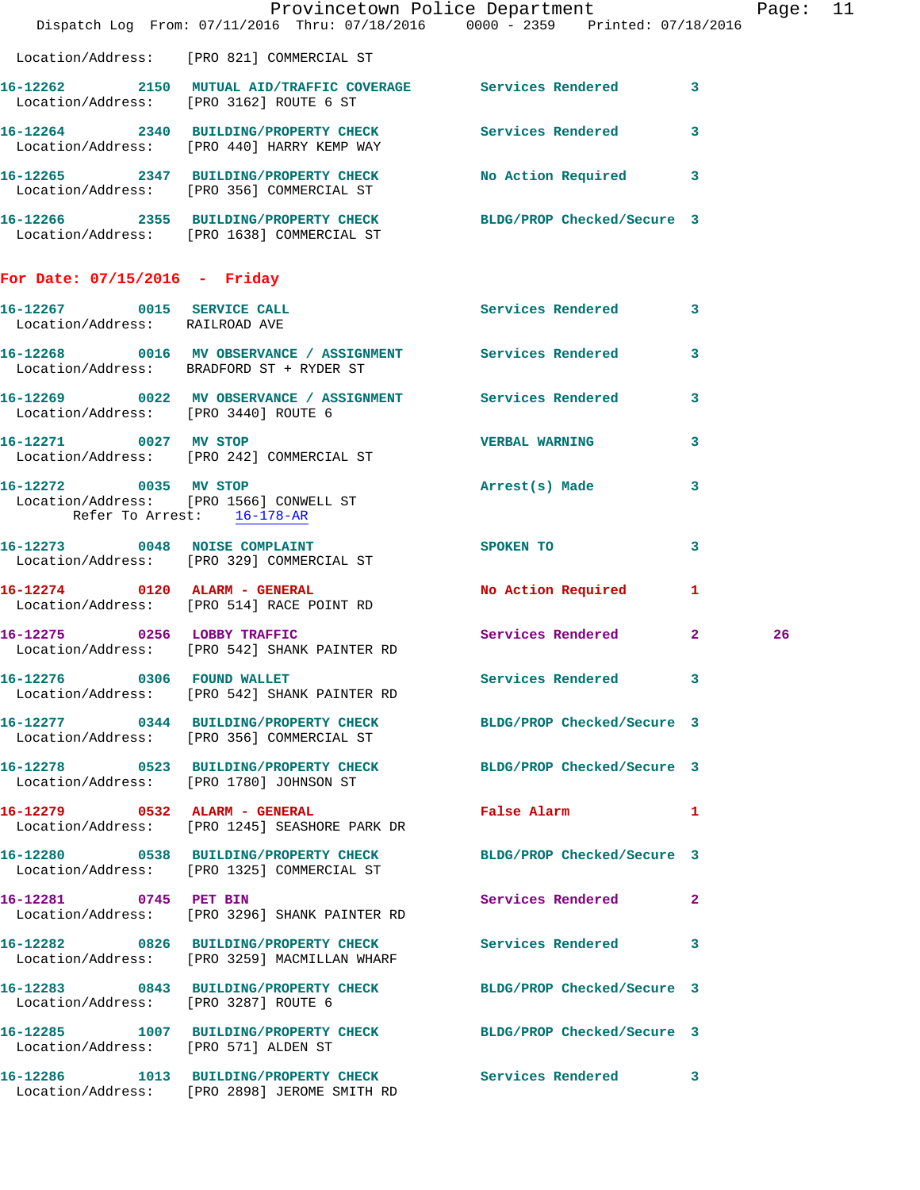|                                                              |                                                                                                                | Provincetown Police Department The Rage: 11<br>Dispatch Log From: 07/11/2016 Thru: 07/18/2016 0000 - 2359 Printed: 07/18/2016 |    |
|--------------------------------------------------------------|----------------------------------------------------------------------------------------------------------------|-------------------------------------------------------------------------------------------------------------------------------|----|
|                                                              | Location/Address: [PRO 821] COMMERCIAL ST                                                                      |                                                                                                                               |    |
|                                                              | 16-12262 2150 MUTUAL AID/TRAFFIC COVERAGE Services Rendered 3<br>Location/Address: [PRO 3162] ROUTE 6 ST       |                                                                                                                               |    |
|                                                              | 16-12264 2340 BUILDING/PROPERTY CHECK Services Rendered 3<br>Location/Address: [PRO 440] HARRY KEMP WAY        |                                                                                                                               |    |
|                                                              | 16-12265 2347 BUILDING/PROPERTY CHECK No Action Required 3<br>Location/Address: [PRO 356] COMMERCIAL ST        |                                                                                                                               |    |
|                                                              | 16-12266 2355 BUILDING/PROPERTY CHECK BLDG/PROP Checked/Secure 3<br>Location/Address: [PRO 1638] COMMERCIAL ST |                                                                                                                               |    |
| For Date: $07/15/2016$ - Friday                              |                                                                                                                |                                                                                                                               |    |
| 16-12267 0015 SERVICE CALL<br>Location/Address: RAILROAD AVE |                                                                                                                | Services Rendered 3                                                                                                           |    |
|                                                              | 16-12268 0016 MV OBSERVANCE / ASSIGNMENT Services Rendered 3<br>Location/Address: BRADFORD ST + RYDER ST       |                                                                                                                               |    |
| Location/Address: [PRO 3440] ROUTE 6                         | 16-12269 0022 MV OBSERVANCE / ASSIGNMENT Services Rendered 3                                                   |                                                                                                                               |    |
|                                                              | 16-12271 0027 MV STOP<br>Location/Address: [PRO 242] COMMERCIAL ST                                             | <b>VERBAL WARNING</b><br>$\mathbf{3}$                                                                                         |    |
| Refer To Arrest: 16-178-AR                                   | 16-12272 0035 MV STOP<br>Location/Address: [PRO 1566] CONWELL ST                                               | Arrest(s) Made 3                                                                                                              |    |
|                                                              | 16-12273 0048 NOISE COMPLAINT<br>Location/Address: [PRO 329] COMMERCIAL ST                                     | SPOKEN TO<br>3                                                                                                                |    |
|                                                              | 16-12274 0120 ALARM - GENERAL<br>Location/Address: [PRO 514] RACE POINT RD                                     | No Action Required 1                                                                                                          |    |
|                                                              | 16-12275 0256 LOBBY TRAFFIC<br>Location/Address: [PRO 542] SHANK PAINTER RD                                    | Services Rendered 2                                                                                                           | 26 |
|                                                              | 16-12276 0306 FOUND WALLET<br>Location/Address: [PRO 542] SHANK PAINTER RD                                     | Services Rendered 3                                                                                                           |    |
|                                                              | 16-12277 0344 BUILDING/PROPERTY CHECK BLDG/PROP Checked/Secure 3<br>Location/Address: [PRO 356] COMMERCIAL ST  |                                                                                                                               |    |
|                                                              | 16-12278 0523 BUILDING/PROPERTY CHECK<br>Location/Address: [PRO 1780] JOHNSON ST                               | BLDG/PROP Checked/Secure 3                                                                                                    |    |
|                                                              | 16-12279 0532 ALARM - GENERAL<br>Location/Address: [PRO 1245] SEASHORE PARK DR                                 | False Alarm <b>Exercise Service Service</b><br>1                                                                              |    |
|                                                              | 16-12280 0538 BUILDING/PROPERTY CHECK<br>Location/Address: [PRO 1325] COMMERCIAL ST                            | BLDG/PROP Checked/Secure 3                                                                                                    |    |
| 16-12281 0745 PET BIN                                        | Location/Address: [PRO 3296] SHANK PAINTER RD                                                                  | Services Rendered 2                                                                                                           |    |
|                                                              | 16-12282 0826 BUILDING/PROPERTY CHECK Services Rendered 3<br>Location/Address: [PRO 3259] MACMILLAN WHARF      |                                                                                                                               |    |
| Location/Address: [PRO 3287] ROUTE 6                         | 16-12283 0843 BUILDING/PROPERTY CHECK                                                                          | BLDG/PROP Checked/Secure 3                                                                                                    |    |
| Location/Address: [PRO 571] ALDEN ST                         | 16-12285 1007 BUILDING/PROPERTY CHECK BLDG/PROP Checked/Secure 3                                               |                                                                                                                               |    |
|                                                              | 16-12286 1013 BUILDING/PROPERTY CHECK Services Rendered 3<br>Location/Address: [PRO 2898] JEROME SMITH RD      |                                                                                                                               |    |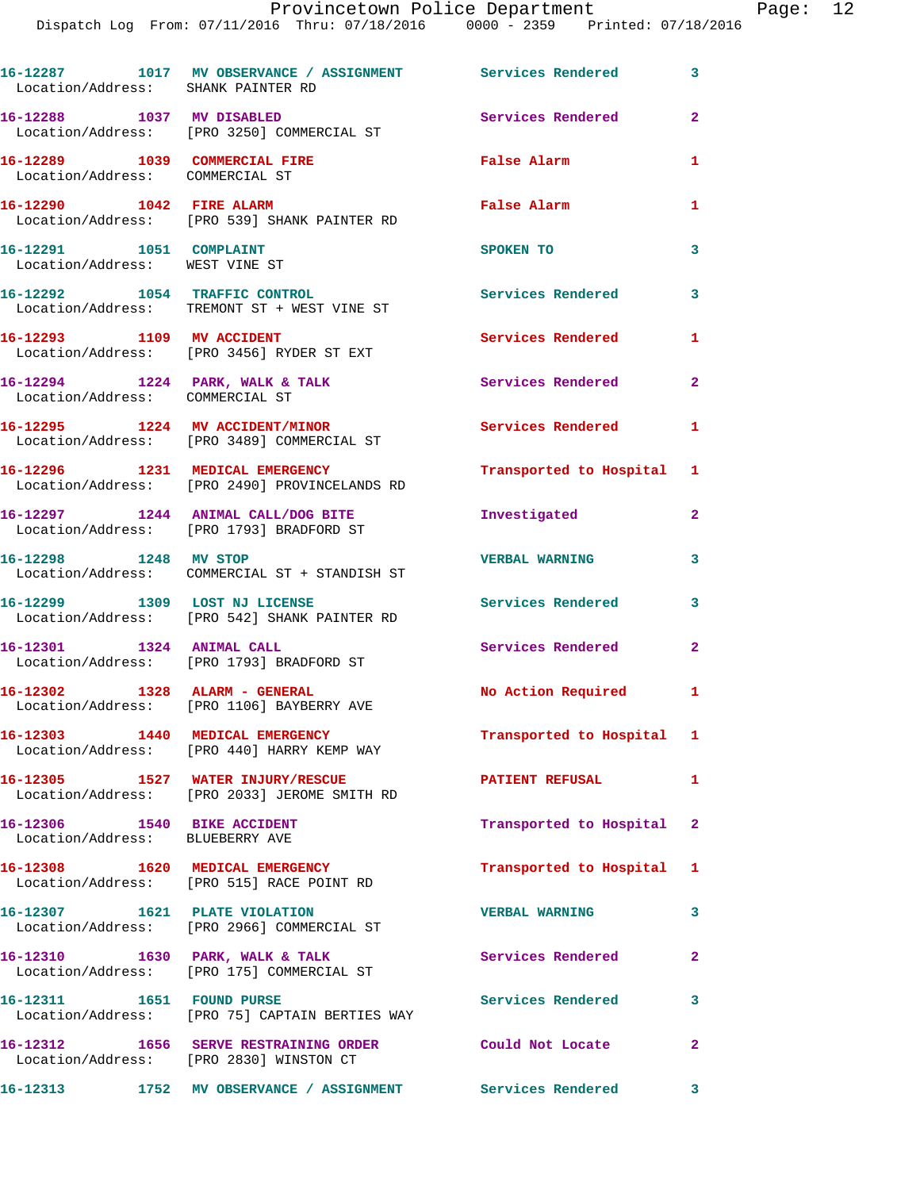| Location/Address: SHANK PAINTER RD                               | 16-12287 1017 MV OBSERVANCE / ASSIGNMENT Services Rendered 3                                      |                           |                |
|------------------------------------------------------------------|---------------------------------------------------------------------------------------------------|---------------------------|----------------|
| 16-12288 1037 MV DISABLED                                        | Location/Address: [PRO 3250] COMMERCIAL ST                                                        | Services Rendered         | $\overline{2}$ |
| 16-12289 1039 COMMERCIAL FIRE<br>Location/Address: COMMERCIAL ST |                                                                                                   | False Alarm               | $\mathbf{1}$   |
| 16-12290 1042 FIRE ALARM                                         | Location/Address: [PRO 539] SHANK PAINTER RD                                                      | False Alarm               | 1              |
| 16-12291 1051 COMPLAINT<br>Location/Address: WEST VINE ST        |                                                                                                   | SPOKEN TO                 | $\mathbf{3}$   |
|                                                                  | 16-12292 1054 TRAFFIC CONTROL<br>Location/Address: TREMONT ST + WEST VINE ST                      | <b>Services Rendered</b>  | $\mathbf{3}$   |
| 16-12293 1109 MV ACCIDENT                                        | Location/Address: [PRO 3456] RYDER ST EXT                                                         | Services Rendered         | 1              |
| Location/Address: COMMERCIAL ST                                  | 16-12294 1224 PARK, WALK & TALK                                                                   | <b>Services Rendered</b>  | $\mathbf{2}$   |
|                                                                  | 16-12295 1224 MV ACCIDENT/MINOR<br>Location/Address: [PRO 3489] COMMERCIAL ST                     | <b>Services Rendered</b>  | $\mathbf{1}$   |
|                                                                  | 16-12296 1231 MEDICAL EMERGENCY<br>Location/Address: [PRO 2490] PROVINCELANDS RD                  | Transported to Hospital 1 |                |
|                                                                  | 16-12297 1244 ANIMAL CALL/DOG BITE<br>Location/Address: [PRO 1793] BRADFORD ST                    | Investigated              | $\mathbf{2}$   |
| 16-12298 1248 MV STOP                                            | Location/Address: COMMERCIAL ST + STANDISH ST                                                     | <b>VERBAL WARNING</b>     | $\mathbf{3}$   |
|                                                                  | 16-12299 1309 LOST NJ LICENSE<br>Location/Address: [PRO 542] SHANK PAINTER RD                     | Services Rendered         | 3              |
| 16-12301 1324 ANIMAL CALL                                        | Location/Address: [PRO 1793] BRADFORD ST                                                          | <b>Services Rendered</b>  | $\overline{2}$ |
|                                                                  | 16-12302 1328 ALARM - GENERAL<br>Location/Address: [PRO 1106] BAYBERRY AVE                        | No Action Required 1      |                |
|                                                                  | 16-12303 1440 MEDICAL EMERGENCY<br>Location/Address: [PRO 440] HARRY KEMP WAY                     | Transported to Hospital 1 |                |
|                                                                  | 16-12305 1527 WATER INJURY/RESCUE<br>Location/Address: [PRO 2033] JEROME SMITH RD                 | PATIENT REFUSAL           | $\mathbf{1}$   |
| 16-12306 1540 BIKE ACCIDENT<br>Location/Address: BLUEBERRY AVE   |                                                                                                   | Transported to Hospital 2 |                |
|                                                                  | 16-12308 1620 MEDICAL EMERGENCY<br>Location/Address: [PRO 515] RACE POINT RD                      | Transported to Hospital 1 |                |
|                                                                  | 16-12307 1621 PLATE VIOLATION<br>Location/Address: [PRO 2966] COMMERCIAL ST                       | <b>VERBAL WARNING</b>     | $\overline{3}$ |
|                                                                  | 16-12310 1630 PARK, WALK & TALK<br>Location/Address: [PRO 175] COMMERCIAL ST                      | <b>Services Rendered</b>  | $\overline{a}$ |
| 16-12311 1651 FOUND PURSE                                        | Location/Address: [PRO 75] CAPTAIN BERTIES WAY                                                    | <b>Services Rendered</b>  | 3              |
|                                                                  | 16-12312 1656 SERVE RESTRAINING ORDER Could Not Locate<br>Location/Address: [PRO 2830] WINSTON CT |                           | $\mathbf{2}$   |
|                                                                  |                                                                                                   |                           |                |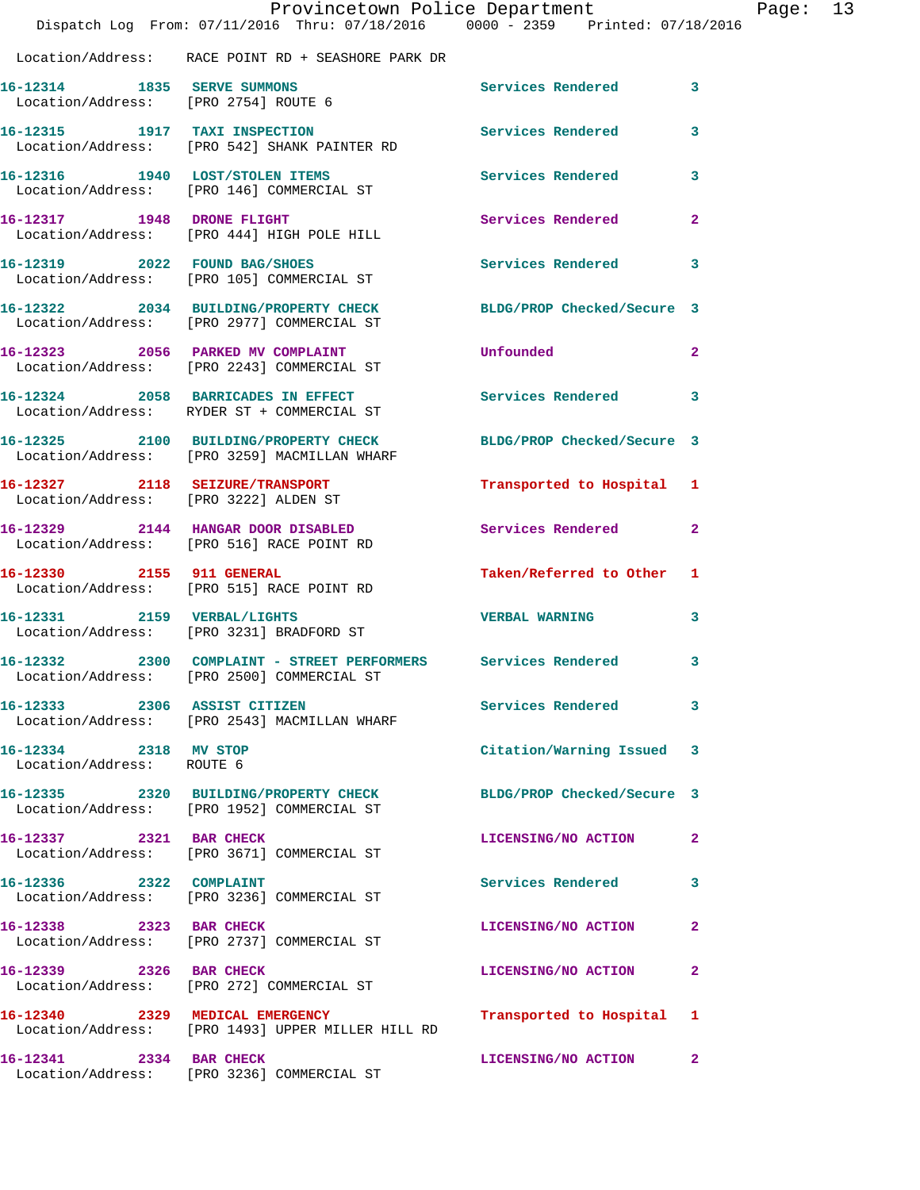|                                                                     | Provincetown Police Department<br>Dispatch Log From: 07/11/2016 Thru: 07/18/2016 0000 - 2359 Printed: 07/18/2016 |                            |                         |
|---------------------------------------------------------------------|------------------------------------------------------------------------------------------------------------------|----------------------------|-------------------------|
|                                                                     | Location/Address: RACE POINT RD + SEASHORE PARK DR                                                               |                            |                         |
| 16-12314 1835 SERVE SUMMONS<br>Location/Address: [PRO 2754] ROUTE 6 |                                                                                                                  | Services Rendered          | 3                       |
|                                                                     | 16-12315 1917 TAXI INSPECTION<br>Location/Address: [PRO 542] SHANK PAINTER RD                                    | <b>Services Rendered</b>   | 3                       |
|                                                                     | 16-12316 1940 LOST/STOLEN ITEMS<br>Location/Address: [PRO 146] COMMERCIAL ST                                     | Services Rendered          | 3                       |
|                                                                     | 16-12317 1948 DRONE FLIGHT<br>Location/Address: [PRO 444] HIGH POLE HILL                                         | Services Rendered          | $\overline{2}$          |
|                                                                     | 16-12319 2022 FOUND BAG/SHOES<br>Location/Address: [PRO 105] COMMERCIAL ST                                       | Services Rendered          | 3                       |
|                                                                     | 16-12322 2034 BUILDING/PROPERTY CHECK<br>Location/Address: [PRO 2977] COMMERCIAL ST                              | BLDG/PROP Checked/Secure 3 |                         |
|                                                                     | 16-12323 2056 PARKED MV COMPLAINT<br>Location/Address: [PRO 2243] COMMERCIAL ST                                  | Unfounded                  | $\overline{\mathbf{2}}$ |
|                                                                     | 16-12324 2058 BARRICADES IN EFFECT<br>Location/Address: RYDER ST + COMMERCIAL ST                                 | Services Rendered          | 3                       |
|                                                                     | 16-12325 2100 BUILDING/PROPERTY CHECK<br>Location/Address: [PRO 3259] MACMILLAN WHARF                            | BLDG/PROP Checked/Secure 3 |                         |
|                                                                     | 16-12327 2118 SEIZURE/TRANSPORT<br>Location/Address: [PRO 3222] ALDEN ST                                         | Transported to Hospital    | 1                       |
|                                                                     | 16-12329 2144 HANGAR DOOR DISABLED<br>Location/Address: [PRO 516] RACE POINT RD                                  | Services Rendered          | $\overline{2}$          |
|                                                                     | 16-12330 2155 911 GENERAL<br>Location/Address: [PRO 515] RACE POINT RD                                           | Taken/Referred to Other    | 1                       |
|                                                                     | 16-12331 2159 VERBAL/LIGHTS<br>Location/Address: [PRO 3231] BRADFORD ST                                          | <b>VERBAL WARNING</b>      | 3                       |
|                                                                     | 16-12332 2300 COMPLAINT - STREET PERFORMERS Services Rendered<br>Location/Address: [PRO 2500] COMMERCIAL ST      |                            | 3                       |
| 16-12333 2306 ASSIST CITIZEN                                        | Location/Address: [PRO 2543] MACMILLAN WHARF                                                                     | <b>Services Rendered</b>   | 3                       |
| 16-12334 2318 MV STOP<br>Location/Address: ROUTE 6                  |                                                                                                                  | Citation/Warning Issued    | 3                       |
|                                                                     | 16-12335 2320 BUILDING/PROPERTY CHECK<br>Location/Address: [PRO 1952] COMMERCIAL ST                              | BLDG/PROP Checked/Secure 3 |                         |
| 16-12337 2321 BAR CHECK                                             | Location/Address: [PRO 3671] COMMERCIAL ST                                                                       | LICENSING/NO ACTION        | $\mathbf{2}$            |
| 16-12336 2322 COMPLAINT                                             | Location/Address: [PRO 3236] COMMERCIAL ST                                                                       | Services Rendered          | 3                       |
| 16-12338 2323 BAR CHECK                                             | Location/Address: [PRO 2737] COMMERCIAL ST                                                                       | LICENSING/NO ACTION        | 2                       |
| 16-12339 2326 BAR CHECK                                             | Location/Address: [PRO 272] COMMERCIAL ST                                                                        | LICENSING/NO ACTION        | $\mathbf{2}$            |
|                                                                     | 16-12340 2329 MEDICAL EMERGENCY<br>Location/Address: [PRO 1493] UPPER MILLER HILL RD                             | Transported to Hospital    | 1                       |
| 16-12341 2334 BAR CHECK                                             | Location/Address: [PRO 3236] COMMERCIAL ST                                                                       | LICENSING/NO ACTION        | $\mathbf{2}$            |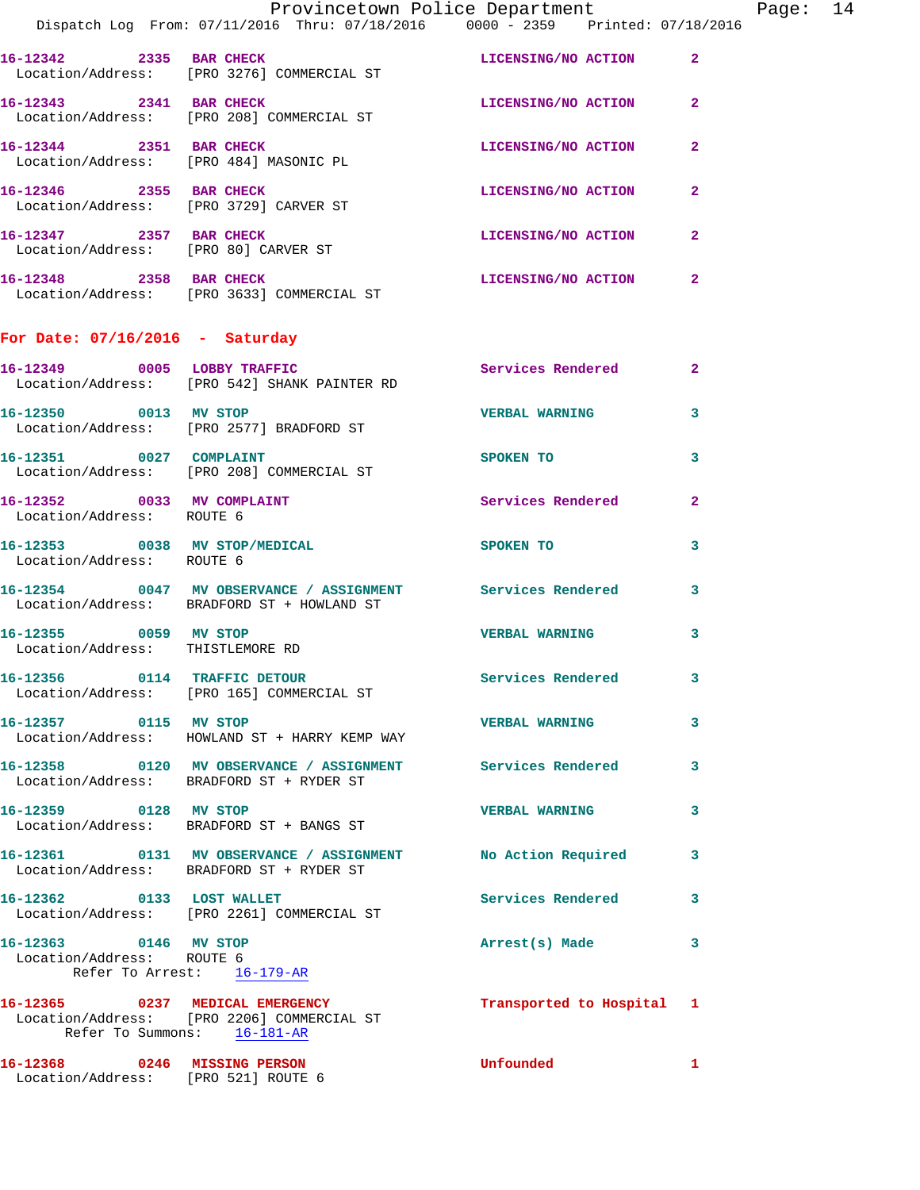|                                                                                  | Provincetown Police Department The Page: 14                                                                  |                           |                |  |
|----------------------------------------------------------------------------------|--------------------------------------------------------------------------------------------------------------|---------------------------|----------------|--|
|                                                                                  | Dispatch Log From: 07/11/2016 Thru: 07/18/2016 0000 - 2359 Printed: 07/18/2016                               |                           |                |  |
|                                                                                  | 16-12342 2335 BAR CHECK LICENSING/NO ACTION 2<br>Location/Address: [PRO 3276] COMMERCIAL ST                  |                           |                |  |
|                                                                                  | 16-12343 2341 BAR CHECK LICENSING/NO ACTION<br>Location/Address: [PRO 208] COMMERCIAL ST                     |                           | $\mathbf{2}$   |  |
|                                                                                  | 16-12344 2351 BAR CHECK<br>Location/Address: [PRO 484] MASONIC PL                                            | LICENSING/NO ACTION       | $\mathbf{2}$   |  |
|                                                                                  | 16-12346 2355 BAR CHECK<br>Location/Address: [PRO 3729] CARVER ST                                            | LICENSING/NO ACTION       | 2              |  |
| 16-12347 2357 BAR CHECK                                                          | Location/Address: [PRO 80] CARVER ST                                                                         | LICENSING/NO ACTION       | $\mathbf{2}$   |  |
|                                                                                  | 16-12348 2358 BAR CHECK<br>Location/Address: [PRO 3633] COMMERCIAL ST                                        | LICENSING/NO ACTION       | $\mathbf{2}$   |  |
| For Date: $07/16/2016$ - Saturday                                                |                                                                                                              |                           |                |  |
|                                                                                  | 16-12349 0005 LOBBY TRAFFIC<br>Location/Address: [PRO 542] SHANK PAINTER RD                                  | Services Rendered         | $\mathbf{2}$   |  |
|                                                                                  | 16-12350 0013 MV STOP<br>Location/Address: [PRO 2577] BRADFORD ST                                            | VERBAL WARNING 3          |                |  |
|                                                                                  | 16-12351 0027 COMPLAINT<br>Location/Address: [PRO 208] COMMERCIAL ST                                         | <b>SPOKEN TO</b>          | 3              |  |
| Location/Address: ROUTE 6                                                        | 16-12352 0033 MV COMPLAINT                                                                                   | Services Rendered         | $\overline{2}$ |  |
| Location/Address: ROUTE 6                                                        | 16-12353 0038 MV STOP/MEDICAL                                                                                | SPOKEN TO                 | 3              |  |
|                                                                                  | 16-12354 0047 MV OBSERVANCE / ASSIGNMENT Services Rendered 3<br>Location/Address: BRADFORD ST + HOWLAND ST   |                           |                |  |
|                                                                                  | 16-12355 0059 MV STOP<br>Location/Address: THISTLEMORE RD                                                    | <b>VERBAL WARNING</b>     | 3              |  |
|                                                                                  | 16-12356 0114 TRAFFIC DETOUR<br>Location/Address: [PRO 165] COMMERCIAL ST                                    | Services Rendered 3       |                |  |
| 16-12357 0115 MV STOP                                                            | Location/Address: HOWLAND ST + HARRY KEMP WAY                                                                | <b>VERBAL WARNING</b>     | 3              |  |
|                                                                                  | 16-12358 0120 MV OBSERVANCE / ASSIGNMENT Services Rendered<br>Location/Address: BRADFORD ST + RYDER ST       |                           | 3              |  |
| 16-12359 0128 MV STOP                                                            | Location/Address: BRADFORD ST + BANGS ST                                                                     | <b>VERBAL WARNING</b>     | 3              |  |
|                                                                                  | 16-12361 0131 MV OBSERVANCE / ASSIGNMENT No Action Required 3<br>Location/Address: BRADFORD ST + RYDER ST    |                           |                |  |
|                                                                                  | 16-12362 0133 LOST WALLET<br>Location/Address: [PRO 2261] COMMERCIAL ST                                      | <b>Services Rendered</b>  | 3              |  |
| 16-12363 0146 MV STOP<br>Location/Address: ROUTE 6<br>Refer To Arrest: 16-179-AR |                                                                                                              | Arrest(s) Made            | 3              |  |
|                                                                                  | 16-12365 0237 MEDICAL EMERGENCY<br>Location/Address: [PRO 2206] COMMERCIAL ST<br>Refer To Summons: 16-181-AR | Transported to Hospital 1 |                |  |
| 16-12368 0246 MISSING PERSON<br>Location/Address: [PRO 521] ROUTE 6              |                                                                                                              | Unfounded                 | 1              |  |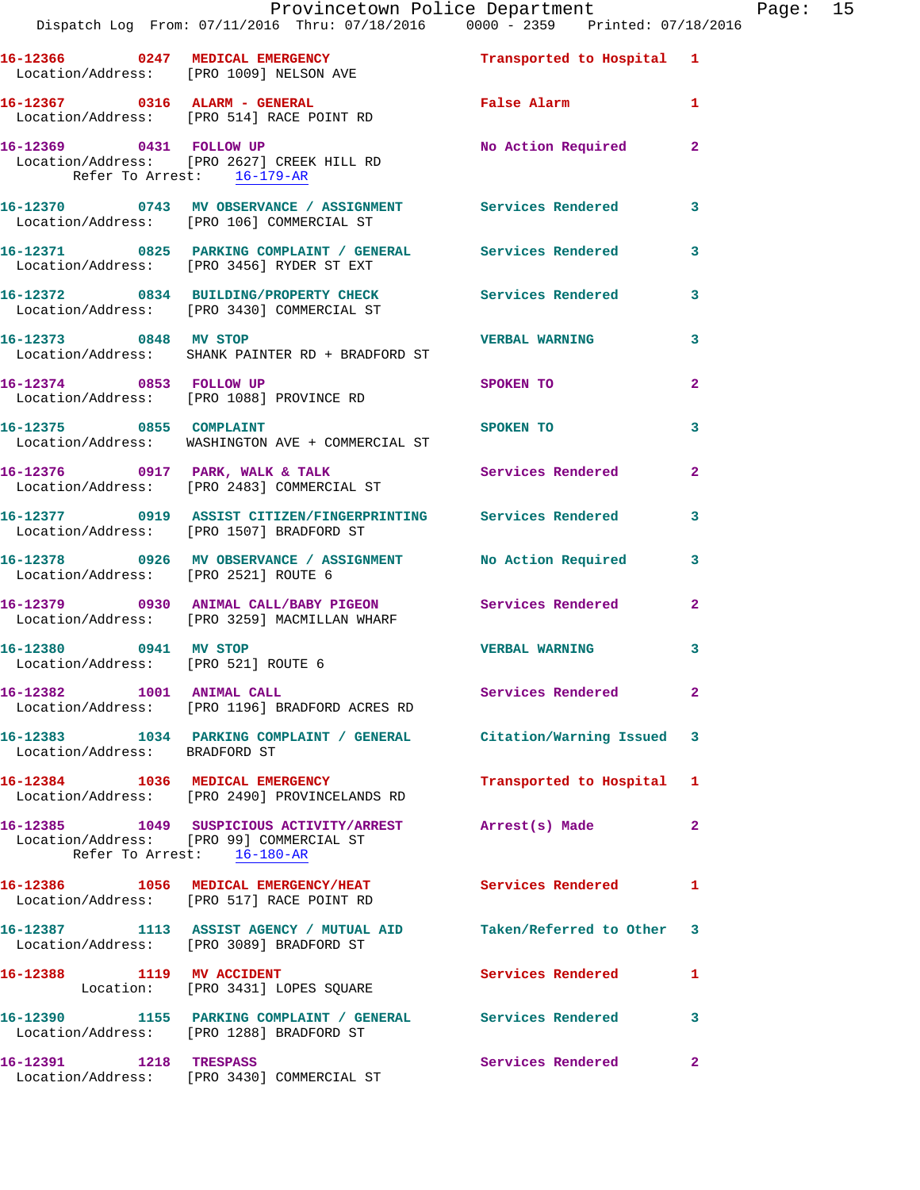|                                                              | Provincetown Police Department<br>Dispatch Log From: 07/11/2016 Thru: 07/18/2016 0000 - 2359 Printed: 07/18/2016                  |                           |                |
|--------------------------------------------------------------|-----------------------------------------------------------------------------------------------------------------------------------|---------------------------|----------------|
|                                                              | 16-12366 0247 MEDICAL EMERGENCY Transported to Hospital 1<br>Location/Address: [PRO 1009] NELSON AVE                              |                           |                |
|                                                              | 16-12367 0316 ALARM - GENERAL<br>Location/Address: [PRO 514] RACE POINT RD                                                        | False Alarm               | 1              |
| Refer To Arrest: 16-179-AR                                   | 16-12369 0431 FOLLOW UP<br>Location/Address: [PRO 2627] CREEK HILL RD                                                             | No Action Required        | $\overline{2}$ |
|                                                              | 16-12370 0743 MV OBSERVANCE / ASSIGNMENT Services Rendered<br>Location/Address: [PRO 106] COMMERCIAL ST                           |                           | 3              |
|                                                              |                                                                                                                                   |                           | 3              |
|                                                              | 16-12372 0834 BUILDING/PROPERTY CHECK Services Rendered<br>Location/Address: [PRO 3430] COMMERCIAL ST                             |                           | 3              |
|                                                              | 16-12373 0848 MV STOP<br>Location/Address: SHANK PAINTER RD + BRADFORD ST                                                         | <b>VERBAL WARNING</b>     | 3              |
| 16-12374 0853 FOLLOW UP                                      | Location/Address: [PRO 1088] PROVINCE RD                                                                                          | SPOKEN TO                 | $\overline{a}$ |
| 16-12375 0855 COMPLAINT                                      | <b>SPOKEN TO</b><br>Location/Address: WASHINGTON AVE + COMMERCIAL ST                                                              |                           | 3              |
|                                                              | 16-12376 0917 PARK, WALK & TALK 3 Services Rendered<br>Location/Address: [PRO 2483] COMMERCIAL ST                                 |                           | $\mathbf{2}$   |
|                                                              | 16-12377 0919 ASSIST CITIZEN/FINGERPRINTING Services Rendered 3<br>Location/Address: [PRO 1507] BRADFORD ST                       |                           |                |
| Location/Address: [PRO 2521] ROUTE 6                         | 16-12378 0926 MV OBSERVANCE / ASSIGNMENT No Action Required                                                                       |                           | 3              |
|                                                              | 16-12379 0930 ANIMAL CALL/BABY PIGEON Services Rendered<br>Location/Address: [PRO 3259] MACMILLAN WHARF                           |                           | $\overline{2}$ |
| 16-12380 0941 MV STOP<br>Location/Address: [PRO 521] ROUTE 6 |                                                                                                                                   | <b>VERBAL WARNING</b>     | 3              |
| 16-12382 1001 ANIMAL CALL                                    | Location/Address: [PRO 1196] BRADFORD ACRES RD                                                                                    | Services Rendered         | 2              |
| Location/Address: BRADFORD ST                                | 16-12383 1034 PARKING COMPLAINT / GENERAL Citation/Warning Issued 3                                                               |                           |                |
|                                                              | 16-12384 1036 MEDICAL EMERGENCY<br>Location/Address: [PRO 2490] PROVINCELANDS RD                                                  | Transported to Hospital 1 |                |
|                                                              | 16-12385 1049 SUSPICIOUS ACTIVITY/ARREST Arrest(s) Made<br>Location/Address: [PRO 99] COMMERCIAL ST<br>Refer To Arrest: 16-180-AR |                           | 2              |
|                                                              | 16-12386 1056 MEDICAL EMERGENCY/HEAT Services Rendered<br>Location/Address: [PRO 517] RACE POINT RD                               |                           | 1              |
|                                                              | 16-12387 1113 ASSIST AGENCY / MUTUAL AID<br>Location/Address: [PRO 3089] BRADFORD ST                                              | Taken/Referred to Other   | 3              |
| 16-12388 1119 MV ACCIDENT                                    | Location: [PRO 3431] LOPES SQUARE                                                                                                 | Services Rendered         | 1              |
|                                                              | 16-12390 1155 PARKING COMPLAINT / GENERAL Services Rendered<br>Location/Address: [PRO 1288] BRADFORD ST                           |                           | 3              |
| 16-12391 1218 TRESPASS                                       |                                                                                                                                   | Services Rendered         | $\mathbf{2}$   |

Location/Address: [PRO 3430] COMMERCIAL ST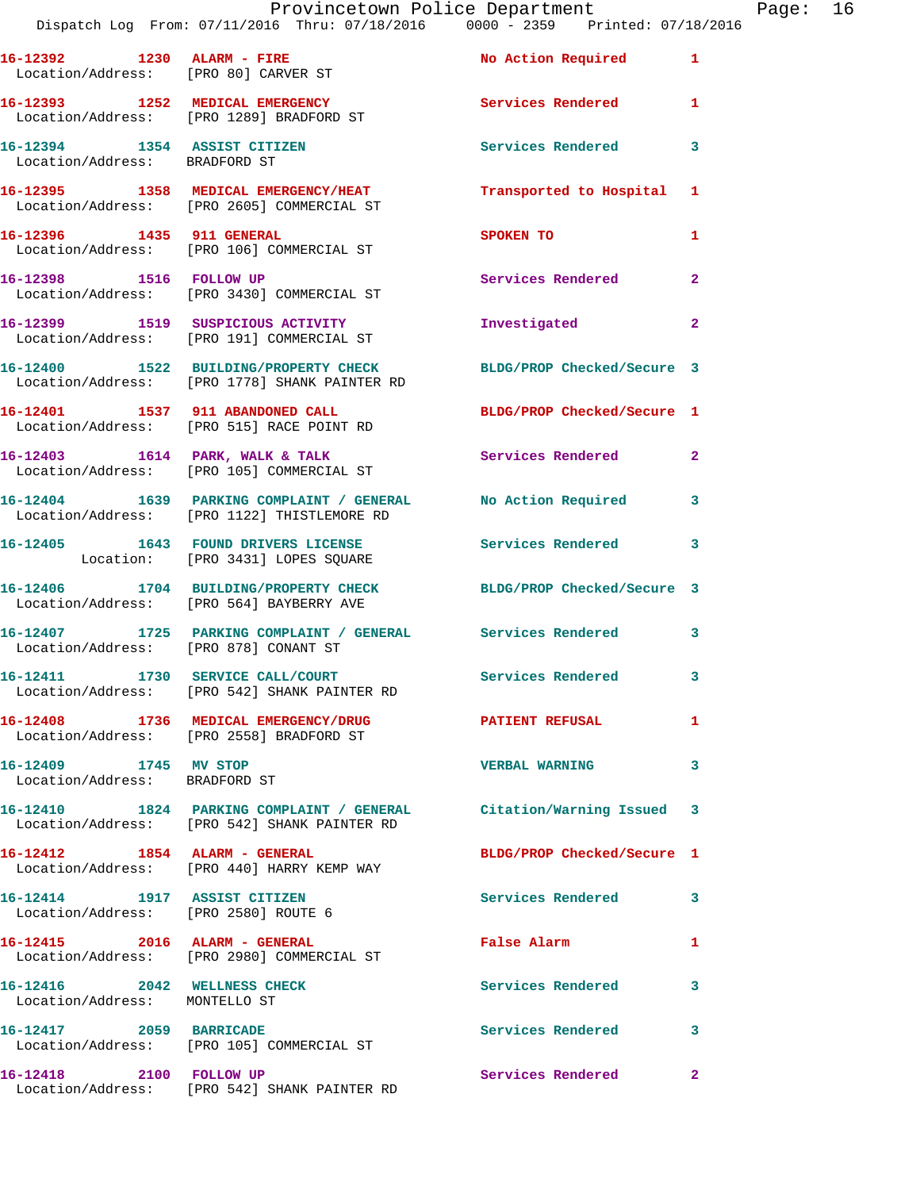|                                                        | Provincetown Police Department Page: 16<br>Dispatch Log From: 07/11/2016 Thru: 07/18/2016                0000 - 2359   Printed: 07/18/2016 |                            |              |  |
|--------------------------------------------------------|--------------------------------------------------------------------------------------------------------------------------------------------|----------------------------|--------------|--|
|                                                        | 16-12392 1230 ALARM - FIRE No Action Required 1<br>Location/Address: [PRO 80] CARVER ST                                                    |                            |              |  |
|                                                        | 16-12393 1252 MEDICAL EMERGENCY 1 Services Rendered 1<br>Location/Address: [PRO 1289] BRADFORD ST                                          |                            |              |  |
| Location/Address: BRADFORD ST                          | 16-12394 1354 ASSIST CITIZEN                                                                                                               | Services Rendered          | 3            |  |
|                                                        | 16-12395 1358 MEDICAL EMERGENCY/HEAT Transported to Hospital 1<br>Location/Address: [PRO 2605] COMMERCIAL ST                               |                            |              |  |
|                                                        | 16-12396 1435 911 GENERAL<br>Location/Address: [PRO 106] COMMERCIAL ST                                                                     | <b>SPOKEN TO</b>           | 1            |  |
|                                                        | 16-12398 1516 FOLLOW UP<br>Location/Address: [PRO 3430] COMMERCIAL ST                                                                      | Services Rendered          | $\mathbf{2}$ |  |
|                                                        | 16-12399 1519 SUSPICIOUS ACTIVITY<br>Location/Address: [PRO 191] COMMERCIAL ST                                                             | Investigated               | $\mathbf{2}$ |  |
|                                                        | 16-12400 1522 BUILDING/PROPERTY CHECK BLDG/PROP Checked/Secure 3<br>Location/Address: [PRO 1778] SHANK PAINTER RD                          |                            |              |  |
|                                                        | 16-12401 1537 911 ABANDONED CALL BLDG/PROP Checked/Secure 1<br>Location/Address: [PRO 515] RACE POINT RD                                   |                            |              |  |
|                                                        | 16-12403 1614 PARK, WALK & TALK Services Rendered<br>Location/Address: [PRO 105] COMMERCIAL ST                                             |                            | $\mathbf{2}$ |  |
|                                                        | 16-12404 1639 PARKING COMPLAINT / GENERAL No Action Required 3<br>Location/Address: [PRO 1122] THISTLEMORE RD                              |                            |              |  |
|                                                        | 16-12405 1643 FOUND DRIVERS LICENSE Services Rendered<br>Location: [PRO 3431] LOPES SQUARE                                                 |                            | 3            |  |
|                                                        | 16-12406 1704 BUILDING/PROPERTY CHECK BLDG/PROP Checked/Secure 3<br>Location/Address: [PRO 564] BAYBERRY AVE                               |                            |              |  |
| Location/Address: [PRO 878] CONANT ST                  | 16-12407 1725 PARKING COMPLAINT / GENERAL Services Rendered 3                                                                              |                            |              |  |
|                                                        | 16-12411 1730 SERVICE CALL/COURT<br>Location/Address: [PRO 542] SHANK PAINTER RD                                                           | Services Rendered 3        |              |  |
|                                                        | 16-12408 1736 MEDICAL EMERGENCY/DRUG PATIENT REFUSAL<br>Location/Address: [PRO 2558] BRADFORD ST                                           |                            | 1            |  |
| 16-12409 1745 MV STOP<br>Location/Address: BRADFORD ST |                                                                                                                                            | <b>VERBAL WARNING</b>      | 3            |  |
|                                                        | 16-12410 1824 PARKING COMPLAINT / GENERAL Citation/Warning Issued 3<br>Location/Address: [PRO 542] SHANK PAINTER RD                        |                            |              |  |
|                                                        | 16-12412 1854 ALARM - GENERAL<br>Location/Address: [PRO 440] HARRY KEMP WAY                                                                | BLDG/PROP Checked/Secure 1 |              |  |
| Location/Address: [PRO 2580] ROUTE 6                   | 16-12414 1917 ASSIST CITIZEN                                                                                                               | Services Rendered 3        |              |  |
|                                                        | 16-12415 2016 ALARM - GENERAL<br>Location/Address: [PRO 2980] COMMERCIAL ST                                                                | False Alarm                | $\mathbf{1}$ |  |
| Location/Address: MONTELLO ST                          | 16-12416 2042 WELLNESS CHECK                                                                                                               | <b>Services Rendered</b>   | 3            |  |
|                                                        | 16-12417 2059 BARRICADE<br>Location/Address: [PRO 105] COMMERCIAL ST                                                                       | Services Rendered 3        |              |  |
|                                                        | 16-12418 2100 FOLLOW UP<br>Location/Address: [PRO 542] SHANK PAINTER RD                                                                    | Services Rendered          | 2            |  |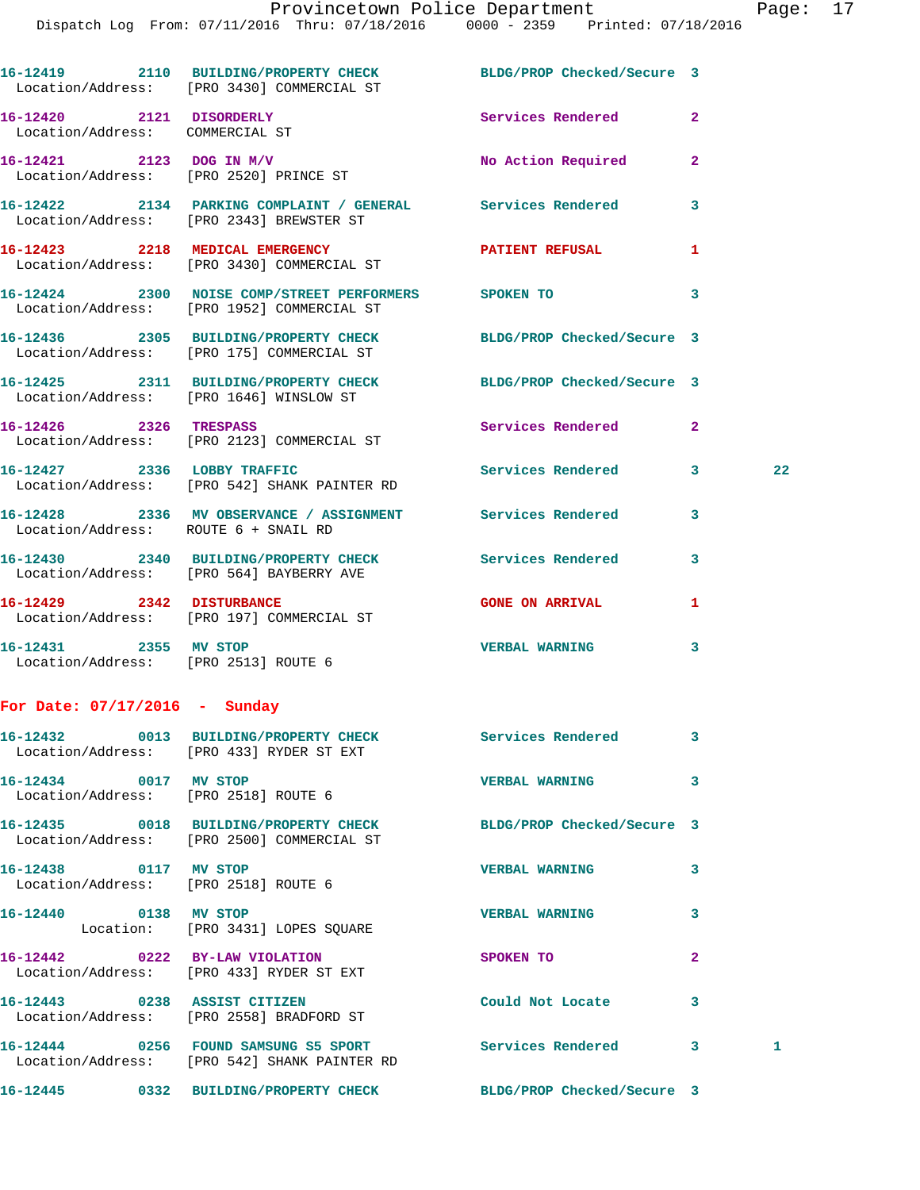|                                                               | 16-12419 2110 BUILDING/PROPERTY CHECK BLDG/PROP Checked/Secure 3<br>Location/Address: [PRO 3430] COMMERCIAL ST |                            |              |    |
|---------------------------------------------------------------|----------------------------------------------------------------------------------------------------------------|----------------------------|--------------|----|
| 16-12420 2121 DISORDERLY<br>Location/Address: COMMERCIAL ST   |                                                                                                                | Services Rendered          | $\mathbf{2}$ |    |
| 16-12421 2123 DOG IN M/V                                      | Location/Address: [PRO 2520] PRINCE ST                                                                         | No Action Required         | $\mathbf{2}$ |    |
|                                                               | 16-12422 2134 PARKING COMPLAINT / GENERAL Services Rendered<br>Location/Address: [PRO 2343] BREWSTER ST        |                            | 3            |    |
|                                                               | 16-12423 2218 MEDICAL EMERGENCY<br>Location/Address: [PRO 3430] COMMERCIAL ST                                  | PATIENT REFUSAL            | 1            |    |
|                                                               | 16-12424 2300 NOISE COMP/STREET PERFORMERS SPOKEN TO<br>Location/Address: [PRO 1952] COMMERCIAL ST             |                            | 3            |    |
|                                                               | 16-12436 2305 BUILDING/PROPERTY CHECK BLDG/PROP Checked/Secure 3<br>Location/Address: [PRO 175] COMMERCIAL ST  |                            |              |    |
|                                                               | 16-12425 2311 BUILDING/PROPERTY CHECK BLDG/PROP Checked/Secure 3<br>Location/Address: [PRO 1646] WINSLOW ST    |                            |              |    |
| 16-12426 2326 TRESPASS                                        | Location/Address: [PRO 2123] COMMERCIAL ST                                                                     | Services Rendered          | $\mathbf{2}$ |    |
|                                                               | 16-12427 2336 LOBBY TRAFFIC<br>Location/Address: [PRO 542] SHANK PAINTER RD                                    | Services Rendered          | 3            | 22 |
| Location/Address: ROUTE 6 + SNAIL RD                          | 16-12428 2336 MV OBSERVANCE / ASSIGNMENT Services Rendered                                                     |                            | 3            |    |
|                                                               | 16-12430 2340 BUILDING/PROPERTY CHECK Services Rendered<br>Location/Address: [PRO 564] BAYBERRY AVE            |                            | 3            |    |
|                                                               | 16-12429 2342 DISTURBANCE<br>Location/Address: [PRO 197] COMMERCIAL ST                                         | <b>GONE ON ARRIVAL</b>     | 1            |    |
| 16-12431 2355 MV STOP<br>Location/Address: [PRO 2513] ROUTE 6 |                                                                                                                | VERBAL WARNING 3           |              |    |
| For Date: $07/17/2016$ - Sunday                               |                                                                                                                |                            |              |    |
|                                                               | 16-12432 0013 BUILDING/PROPERTY CHECK<br>Location/Address: [PRO 433] RYDER ST EXT                              | <b>Services Rendered</b>   | 3            |    |
| 16-12434 0017 MV STOP<br>Location/Address: [PRO 2518] ROUTE 6 |                                                                                                                | <b>VERBAL WARNING</b>      | 3            |    |
|                                                               | 16-12435 0018 BUILDING/PROPERTY CHECK<br>Location/Address: [PRO 2500] COMMERCIAL ST                            | BLDG/PROP Checked/Secure 3 |              |    |
| 16-12438 0117 MV STOP<br>Location/Address: [PRO 2518] ROUTE 6 |                                                                                                                | <b>VERBAL WARNING</b>      | 3            |    |
|                                                               |                                                                                                                |                            |              |    |

**16-12440 0138 MV STOP VERBAL WARNING 3**  Location: [PRO 3431] LOPES SQUARE **16-12442 0222 BY-LAW VIOLATION SPOKEN TO 2**  Location/Address: [PRO 433] RYDER ST EXT **16-12443 0238 ASSIST CITIZEN Could Not Locate 3**  Location/Address: [PRO 2558] BRADFORD ST **16-12444 0256 FOUND SAMSUNG S5 SPORT Services Rendered 3 1**  Location/Address: [PRO 542] SHANK PAINTER RD

**16-12445 0332 BUILDING/PROPERTY CHECK BLDG/PROP Checked/Secure 3**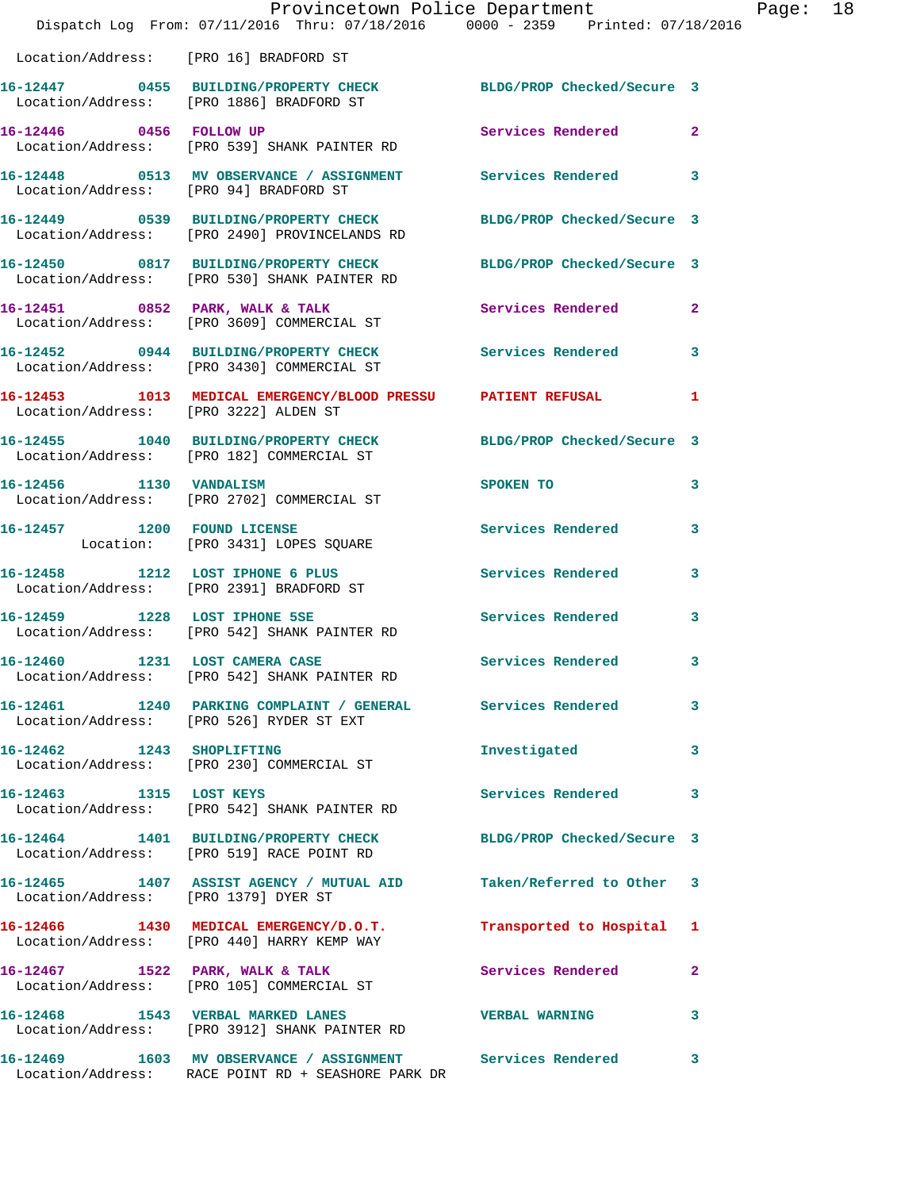|                                        | Provincetown Police Department<br>Dispatch Log From: 07/11/2016 Thru: 07/18/2016 0000 - 2359 Printed: 07/18/2016 |                            |              |
|----------------------------------------|------------------------------------------------------------------------------------------------------------------|----------------------------|--------------|
| Location/Address: [PRO 16] BRADFORD ST |                                                                                                                  |                            |              |
|                                        | 16-12447 0455 BUILDING/PROPERTY CHECK<br>Location/Address: [PRO 1886] BRADFORD ST                                | BLDG/PROP Checked/Secure 3 |              |
| 16-12446 0456 FOLLOW UP                | Location/Address: [PRO 539] SHANK PAINTER RD                                                                     | Services Rendered          | $\mathbf{2}$ |
|                                        |                                                                                                                  |                            | 3            |
|                                        | 16-12449 0539 BUILDING/PROPERTY CHECK<br>Location/Address: [PRO 2490] PROVINCELANDS RD                           | BLDG/PROP Checked/Secure 3 |              |
|                                        | 16-12450 0817 BUILDING/PROPERTY CHECK<br>Location/Address: [PRO 530] SHANK PAINTER RD                            | BLDG/PROP Checked/Secure 3 |              |
|                                        | 16-12451 0852 PARK, WALK & TALK<br>Location/Address: [PRO 3609] COMMERCIAL ST                                    | Services Rendered          | 2            |
|                                        | 16-12452 0944 BUILDING/PROPERTY CHECK<br>Location/Address: [PRO 3430] COMMERCIAL ST                              | Services Rendered          | 3            |
| Location/Address: [PRO 3222] ALDEN ST  | 16-12453 1013 MEDICAL EMERGENCY/BLOOD PRESSU PATIENT REFUSAL                                                     |                            | 1            |
|                                        | 16-12455 1040 BUILDING/PROPERTY CHECK BLDG/PROP Checked/Secure 3<br>Location/Address: [PRO 182] COMMERCIAL ST    |                            |              |
|                                        | 16-12456 1130 VANDALISM<br>Location/Address: [PRO 2702] COMMERCIAL ST                                            | SPOKEN TO                  | 3            |
| 16-12457 1200 FOUND LICENSE            | Location: [PRO 3431] LOPES SQUARE                                                                                | Services Rendered          | 3            |
|                                        | 16-12458 1212 LOST IPHONE 6 PLUS<br>Location/Address: [PRO 2391] BRADFORD ST                                     | <b>Services Rendered</b>   | 3            |
| 16-12459 1228 LOST IPHONE 5SE          | Location/Address: [PRO 542] SHANK PAINTER RD                                                                     | <b>Services Rendered</b>   | 3            |
| 16-12460 1231 LOST CAMERA CASE         | Location/Address: [PRO 542] SHANK PAINTER RD                                                                     | Services Rendered          | 3            |
|                                        | Location/Address: [PRO 526] RYDER ST EXT                                                                         |                            | 3            |
|                                        | 16-12462 1243 SHOPLIFTING<br>Location/Address: [PRO 230] COMMERCIAL ST                                           | Investigated               | 3            |
| 16-12463 1315 LOST KEYS                | Location/Address: [PRO 542] SHANK PAINTER RD                                                                     | Services Rendered          | 3            |
|                                        | 16-12464 1401 BUILDING/PROPERTY CHECK<br>Location/Address: [PRO 519] RACE POINT RD                               | BLDG/PROP Checked/Secure 3 |              |
| Location/Address: [PRO 1379] DYER ST   | 16-12465 1407 ASSIST AGENCY / MUTUAL AID Taken/Referred to Other                                                 |                            | 3            |
|                                        | 16-12466 1430 MEDICAL EMERGENCY/D.O.T.<br>Location/Address: [PRO 440] HARRY KEMP WAY                             | Transported to Hospital    | 1            |
|                                        | 16-12467 1522 PARK, WALK & TALK<br>Location/Address: [PRO 105] COMMERCIAL ST                                     | Services Rendered          | 2            |
|                                        | 16-12468 1543 VERBAL MARKED LANES<br>Location/Address: [PRO 3912] SHANK PAINTER RD                               | <b>VERBAL WARNING</b>      | 3            |
|                                        | 16-12469 1603 MV OBSERVANCE / ASSIGNMENT Services Rendered<br>Location/Address: RACE POINT RD + SEASHORE PARK DR |                            | 3            |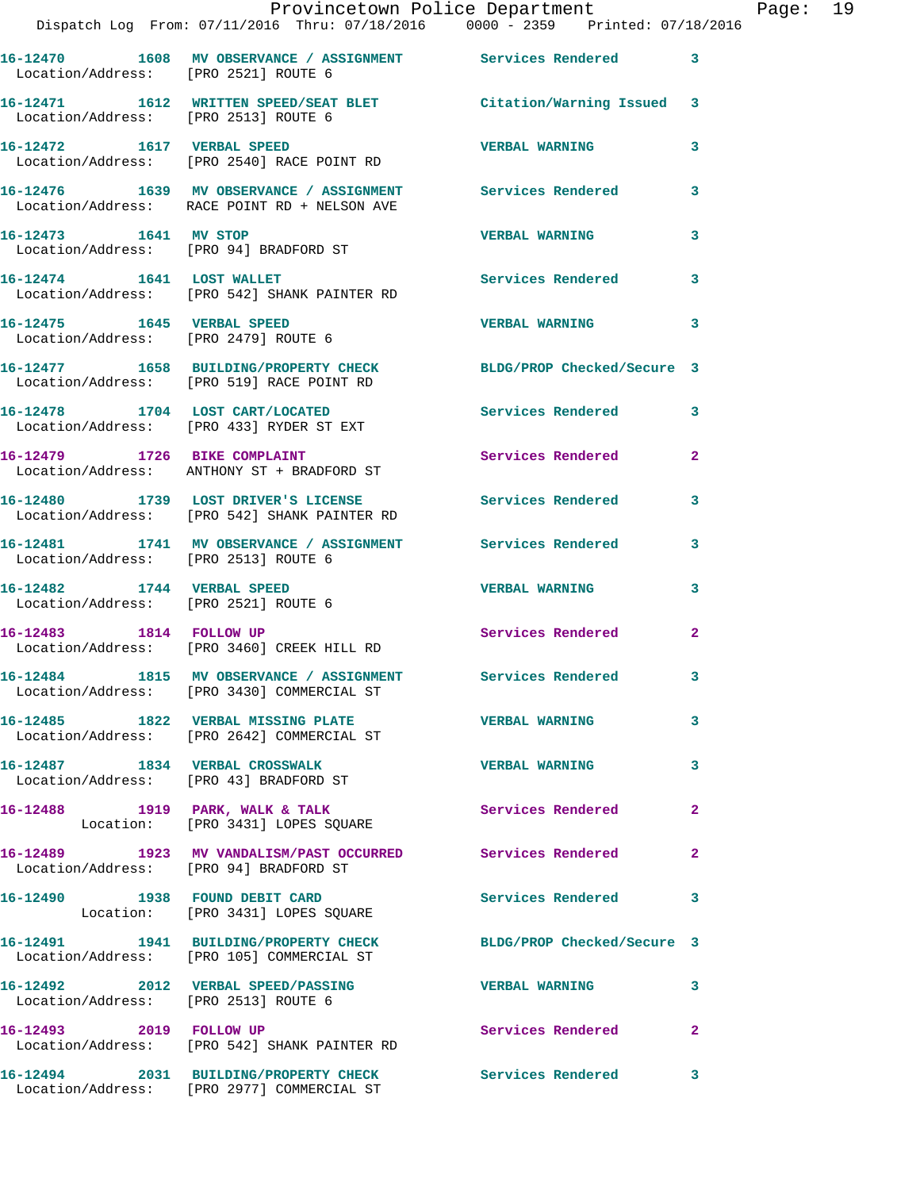|                                                                    | Provincetown Police Department<br>Dispatch Log From: 07/11/2016 Thru: 07/18/2016 0000 - 2359 Printed: 07/18/2016 |                            |                |
|--------------------------------------------------------------------|------------------------------------------------------------------------------------------------------------------|----------------------------|----------------|
| Location/Address: [PRO 2521] ROUTE 6                               | 16-12470 1608 MV OBSERVANCE / ASSIGNMENT Services Rendered                                                       |                            | 3              |
|                                                                    | 16-12471 1612 WRITTEN SPEED/SEAT BLET Citation/Warning Issued                                                    |                            | 3              |
| Location/Address: [PRO 2513] ROUTE 6                               |                                                                                                                  |                            |                |
|                                                                    | 16-12472 1617 VERBAL SPEED<br>Location/Address: [PRO 2540] RACE POINT RD                                         | <b>VERBAL WARNING</b>      | 3              |
|                                                                    | 16-12476 1639 MV OBSERVANCE / ASSIGNMENT Services Rendered<br>Location/Address: RACE POINT RD + NELSON AVE       |                            | 3              |
| 16-12473 1641 MV STOP                                              | Location/Address: [PRO 94] BRADFORD ST                                                                           | <b>VERBAL WARNING</b>      | 3              |
|                                                                    | 16-12474 1641 LOST WALLET<br>Location/Address: [PRO 542] SHANK PAINTER RD                                        | <b>Services Rendered</b>   | 3              |
| 16-12475   1645   VERBAL SPEED                                     | Location/Address: [PRO 2479] ROUTE 6                                                                             | <b>VERBAL WARNING</b>      | 3              |
|                                                                    | 16-12477 1658 BUILDING/PROPERTY CHECK<br>Location/Address: [PRO 519] RACE POINT RD                               | BLDG/PROP Checked/Secure 3 |                |
|                                                                    | 16-12478 1704 LOST CART/LOCATED<br>Location/Address: [PRO 433] RYDER ST EXT                                      | <b>Services Rendered</b>   | 3              |
|                                                                    | 16-12479 1726 BIKE COMPLAINT<br>Location/Address: ANTHONY ST + BRADFORD ST                                       | Services Rendered          | $\mathbf{2}$   |
|                                                                    | 16-12480 1739 LOST DRIVER'S LICENSE<br>Location/Address: [PRO 542] SHANK PAINTER RD                              | <b>Services Rendered</b>   | 3              |
| Location/Address: [PRO 2513] ROUTE 6                               | 16-12481 1741 MV OBSERVANCE / ASSIGNMENT Services Rendered                                                       |                            | 3              |
| 16-12482 1744 VERBAL SPEED<br>Location/Address: [PRO 2521] ROUTE 6 |                                                                                                                  | <b>VERBAL WARNING</b>      | 3              |
| 16-12483 1814 FOLLOW UP                                            | Location/Address: [PRO 3460] CREEK HILL RD                                                                       | <b>Services Rendered</b>   | $\overline{2}$ |
|                                                                    | 16-12484 1815 MV OBSERVANCE / ASSIGNMENT Services Rendered<br>Location/Address: [PRO 3430] COMMERCIAL ST         |                            |                |
|                                                                    | 16-12485 1822 VERBAL MISSING PLATE 6 7 VERBAL WARNING<br>Location/Address: [PRO 2642] COMMERCIAL ST              |                            | 3              |
|                                                                    | 16-12487 1834 VERBAL CROSSWALK<br>Location/Address: [PRO 43] BRADFORD ST                                         | <b>VERBAL WARNING</b>      | 3              |
|                                                                    | 16-12488 1919 PARK, WALK & TALK<br>Location: [PRO 3431] LOPES SQUARE                                             | Services Rendered          | 2              |
| Location/Address: [PRO 94] BRADFORD ST                             | 16-12489 1923 MV VANDALISM/PAST OCCURRED Services Rendered                                                       |                            | $\mathbf{2}$   |
|                                                                    | 16-12490 1938 FOUND DEBIT CARD<br>Location: [PRO 3431] LOPES SQUARE                                              | Services Rendered          | 3              |
|                                                                    | 16-12491 1941 BUILDING/PROPERTY CHECK BLDG/PROP Checked/Secure 3<br>Location/Address: [PRO 105] COMMERCIAL ST    |                            |                |
| Location/Address: [PRO 2513] ROUTE 6                               | 16-12492 2012 VERBAL SPEED/PASSING                                                                               | <b>VERBAL WARNING</b>      | 3              |
| 16-12493 2019 FOLLOW UP                                            | Location/Address: [PRO 542] SHANK PAINTER RD                                                                     | Services Rendered          | 2              |
|                                                                    | 16-12494 2031 BUILDING/PROPERTY CHECK Services Rendered                                                          |                            | $\mathbf{3}$   |

Location/Address: [PRO 2977] COMMERCIAL ST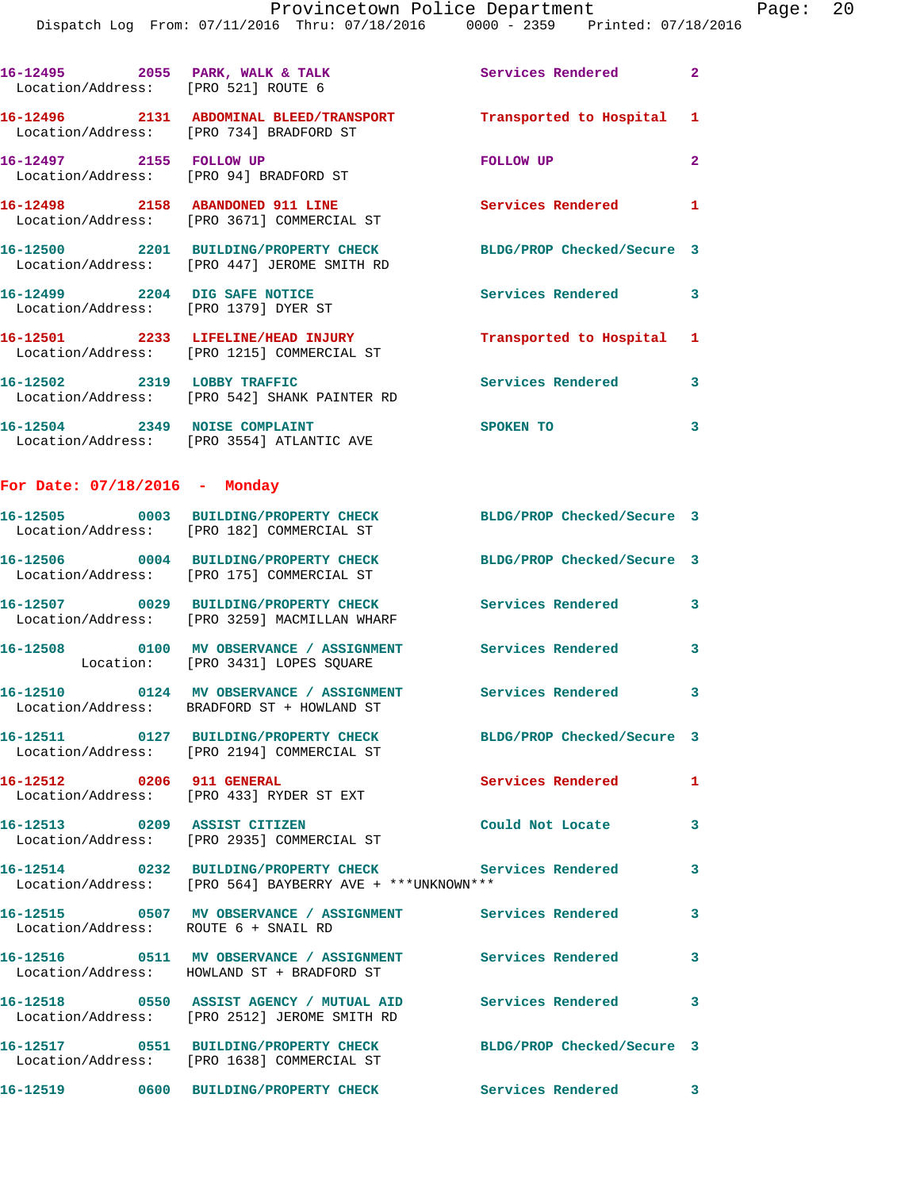|                                 | 16-12495 2055 PARK, WALK & TALK<br>Location/Address: [PRO 521] ROUTE 6                                         | Services Rendered          | $\overline{\mathbf{2}}$  |
|---------------------------------|----------------------------------------------------------------------------------------------------------------|----------------------------|--------------------------|
|                                 | 16-12496 2131 ABDOMINAL BLEED/TRANSPORT Transported to Hospital 1<br>Location/Address: [PRO 734] BRADFORD ST   |                            |                          |
|                                 | 16-12497 2155 FOLLOW UP<br>Location/Address: [PRO 94] BRADFORD ST                                              | FOLLOW UP                  | $\mathbf{2}$             |
|                                 | 16-12498 2158 ABANDONED 911 LINE<br>Location/Address: [PRO 3671] COMMERCIAL ST                                 | Services Rendered 1        |                          |
|                                 | 16-12500 2201 BUILDING/PROPERTY CHECK<br>Location/Address: [PRO 447] JEROME SMITH RD                           | BLDG/PROP Checked/Secure 3 |                          |
|                                 | 16-12499 2204 DIG SAFE NOTICE<br>Location/Address: [PRO 1379] DYER ST                                          | Services Rendered          | $\overline{\mathbf{3}}$  |
|                                 | 16-12501 2233 LIFELINE/HEAD INJURY<br>Location/Address: [PRO 1215] COMMERCIAL ST                               | Transported to Hospital 1  |                          |
|                                 | 16-12502 2319 LOBBY TRAFFIC<br>Location/Address: [PRO 542] SHANK PAINTER RD                                    | Services Rendered 3        |                          |
|                                 | 16-12504 2349 NOISE COMPLAINT<br>Location/Address: [PRO 3554] ATLANTIC AVE                                     | <b>SPOKEN TO</b>           | 3                        |
| For Date: $07/18/2016$ - Monday |                                                                                                                |                            |                          |
|                                 | 16-12505 0003 BUILDING/PROPERTY CHECK<br>Location/Address: [PRO 182] COMMERCIAL ST                             | BLDG/PROP Checked/Secure 3 |                          |
|                                 | 16-12506 0004 BUILDING/PROPERTY CHECK<br>Location/Address: [PRO 175] COMMERCIAL ST                             | BLDG/PROP Checked/Secure 3 |                          |
|                                 | 16-12507 0029 BUILDING/PROPERTY CHECK<br>Location/Address: [PRO 3259] MACMILLAN WHARF                          | Services Rendered          | 3                        |
|                                 | 16-12508 0100 MV OBSERVANCE / ASSIGNMENT<br>Location: [PRO 3431] LOPES SQUARE                                  | Services Rendered          | 3                        |
|                                 | 16-12510 0124 MV OBSERVANCE / ASSIGNMENT<br>Location/Address: BRADFORD ST + HOWLAND ST                         | Services Rendered 3        |                          |
|                                 | 16-12511 0127 BUILDING/PROPERTY CHECK<br>Location/Address: [PRO 2194] COMMERCIAL ST                            | BLDG/PROP Checked/Secure 3 |                          |
|                                 | 16-12512 0206 911 GENERAL<br>Location/Address: [PRO 433] RYDER ST EXT                                          | Services Rendered 1        |                          |
|                                 | 16-12513 0209 ASSIST CITIZEN<br>Location/Address: [PRO 2935] COMMERCIAL ST                                     | Could Not Locate           | $\overline{\phantom{a}}$ |
|                                 | 16-12514 0232 BUILDING/PROPERTY CHECK<br>Location/Address: [PRO 564] BAYBERRY AVE + ***UNKNOWN***              | Services Rendered          | 3                        |
|                                 | 16-12515 0507 MV OBSERVANCE / ASSIGNMENT Services Rendered<br>Location/Address: ROUTE 6 + SNAIL RD             |                            | $\overline{\mathbf{3}}$  |
|                                 | 16-12516 0511 MV OBSERVANCE / ASSIGNMENT Services Rendered 3<br>Location/Address: HOWLAND ST + BRADFORD ST     |                            |                          |
|                                 | Location/Address: [PRO 2512] JEROME SMITH RD                                                                   |                            | 3                        |
|                                 | 16-12517 0551 BUILDING/PROPERTY CHECK BLDG/PROP Checked/Secure 3<br>Location/Address: [PRO 1638] COMMERCIAL ST |                            |                          |
|                                 | 16-12519 0600 BUILDING/PROPERTY CHECK Services Rendered 3                                                      |                            |                          |
|                                 |                                                                                                                |                            |                          |